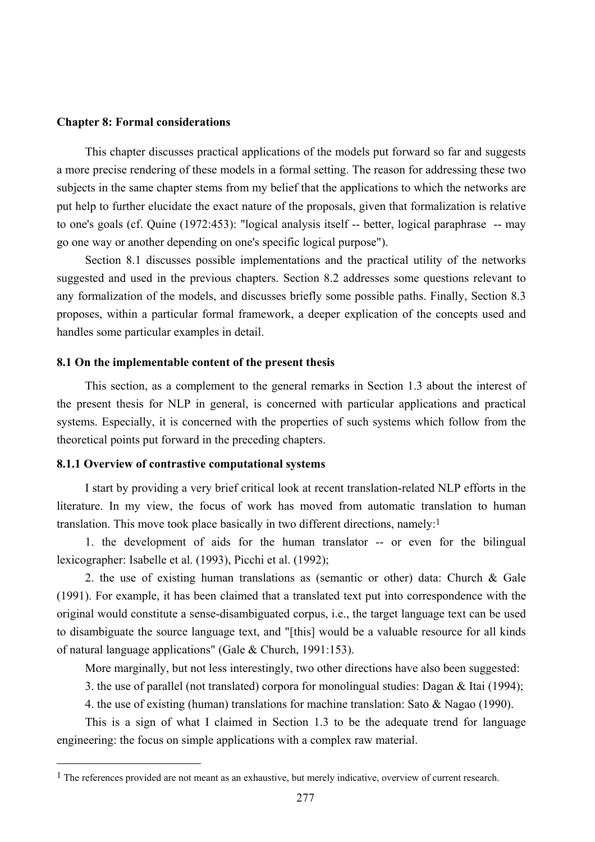### **Chapter 8: Formal considerations**

This chapter discusses practical applications of the models put forward so far and suggests a more precise rendering of these models in a formal setting. The reason for addressing these two subjects in the same chapter stems from my belief that the applications to which the networks are put help to further elucidate the exact nature of the proposals, given that formalization is relative to one's goals (cf. Quine (1972:453): "logical analysis itself -- better, logical paraphrase -- may go one way or another depending on one's specific logical purpose").

Section 8.1 discusses possible implementations and the practical utility of the networks suggested and used in the previous chapters. Section 8.2 addresses some questions relevant to any formalization of the models, and discusses briefly some possible paths. Finally, Section 8.3 proposes, within a particular formal framework, a deeper explication of the concepts used and handles some particular examples in detail.

#### **8.1 On the implementable content of the present thesis**

This section, as a complement to the general remarks in Section 1.3 about the interest of the present thesis for NLP in general, is concerned with particular applications and practical systems. Especially, it is concerned with the properties of such systems which follow from the theoretical points put forward in the preceding chapters.

# **8.1.1 Overview of contrastive computational systems**

 $\overline{a}$ 

I start by providing a very brief critical look at recent translation-related NLP efforts in the literature. In my view, the focus of work has moved from automatic translation to human translation. This move took place basically in two different directions, namely:1

1. the development of aids for the human translator -- or even for the bilingual lexicographer: Isabelle et al. (1993), Picchi et al. (1992);

2. the use of existing human translations as (semantic or other) data: Church & Gale (1991). For example, it has been claimed that a translated text put into correspondence with the original would constitute a sense-disambiguated corpus, i.e., the target language text can be used to disambiguate the source language text, and "[this] would be a valuable resource for all kinds of natural language applications" (Gale & Church, 1991:153).

More marginally, but not less interestingly, two other directions have also been suggested:

3. the use of parallel (not translated) corpora for monolingual studies: Dagan & Itai (1994);

4. the use of existing (human) translations for machine translation: Sato & Nagao (1990).

This is a sign of what I claimed in Section 1.3 to be the adequate trend for language engineering: the focus on simple applications with a complex raw material.

<sup>&</sup>lt;sup>1</sup> The references provided are not meant as an exhaustive, but merely indicative, overview of current research.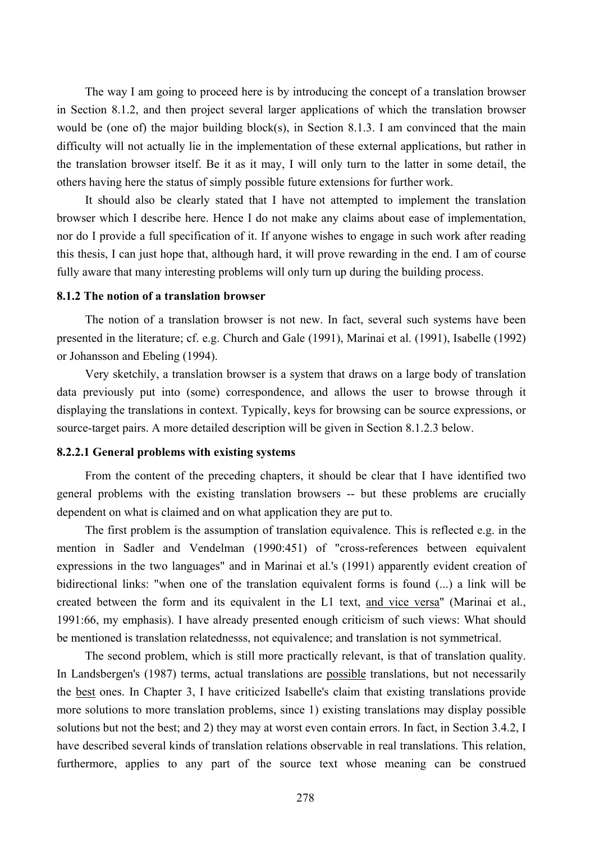The way I am going to proceed here is by introducing the concept of a translation browser in Section 8.1.2, and then project several larger applications of which the translation browser would be (one of) the major building block(s), in Section 8.1.3. I am convinced that the main difficulty will not actually lie in the implementation of these external applications, but rather in the translation browser itself. Be it as it may, I will only turn to the latter in some detail, the others having here the status of simply possible future extensions for further work.

It should also be clearly stated that I have not attempted to implement the translation browser which I describe here. Hence I do not make any claims about ease of implementation, nor do I provide a full specification of it. If anyone wishes to engage in such work after reading this thesis, I can just hope that, although hard, it will prove rewarding in the end. I am of course fully aware that many interesting problems will only turn up during the building process.

### **8.1.2 The notion of a translation browser**

The notion of a translation browser is not new. In fact, several such systems have been presented in the literature; cf. e.g. Church and Gale (1991), Marinai et al. (1991), Isabelle (1992) or Johansson and Ebeling (1994).

Very sketchily, a translation browser is a system that draws on a large body of translation data previously put into (some) correspondence, and allows the user to browse through it displaying the translations in context. Typically, keys for browsing can be source expressions, or source-target pairs. A more detailed description will be given in Section 8.1.2.3 below.

#### **8.2.2.1 General problems with existing systems**

From the content of the preceding chapters, it should be clear that I have identified two general problems with the existing translation browsers -- but these problems are crucially dependent on what is claimed and on what application they are put to.

The first problem is the assumption of translation equivalence. This is reflected e.g. in the mention in Sadler and Vendelman (1990:451) of "cross-references between equivalent expressions in the two languages" and in Marinai et al.'s (1991) apparently evident creation of bidirectional links: "when one of the translation equivalent forms is found (...) a link will be created between the form and its equivalent in the L1 text, and vice versa" (Marinai et al., 1991:66, my emphasis). I have already presented enough criticism of such views: What should be mentioned is translation relatednesss, not equivalence; and translation is not symmetrical.

The second problem, which is still more practically relevant, is that of translation quality. In Landsbergen's (1987) terms, actual translations are possible translations, but not necessarily the best ones. In Chapter 3, I have criticized Isabelle's claim that existing translations provide more solutions to more translation problems, since 1) existing translations may display possible solutions but not the best; and 2) they may at worst even contain errors. In fact, in Section 3.4.2, I have described several kinds of translation relations observable in real translations. This relation, furthermore, applies to any part of the source text whose meaning can be construed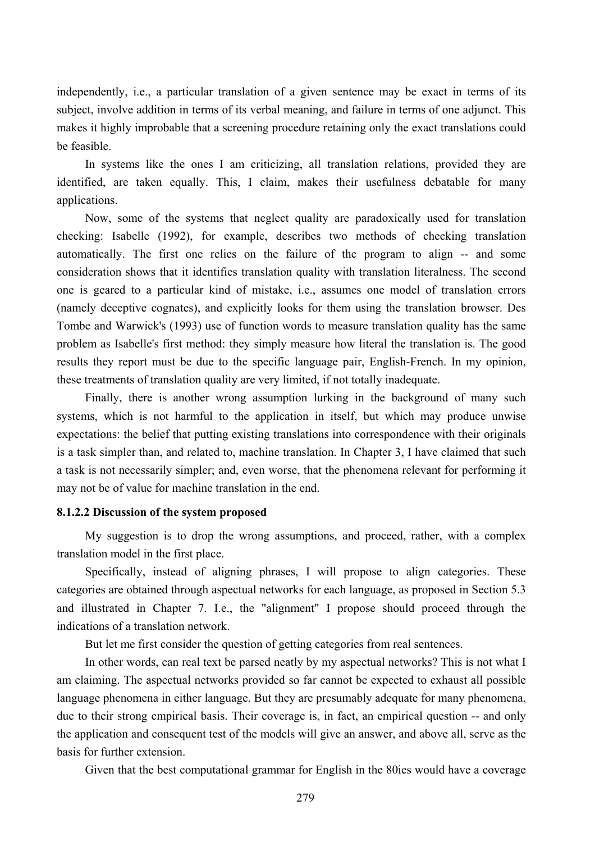independently, i.e., a particular translation of a given sentence may be exact in terms of its subject, involve addition in terms of its verbal meaning, and failure in terms of one adjunct. This makes it highly improbable that a screening procedure retaining only the exact translations could be feasible.

In systems like the ones I am criticizing, all translation relations, provided they are identified, are taken equally. This, I claim, makes their usefulness debatable for many applications.

Now, some of the systems that neglect quality are paradoxically used for translation checking: Isabelle (1992), for example, describes two methods of checking translation automatically. The first one relies on the failure of the program to align -- and some consideration shows that it identifies translation quality with translation literalness. The second one is geared to a particular kind of mistake, i.e., assumes one model of translation errors (namely deceptive cognates), and explicitly looks for them using the translation browser. Des Tombe and Warwick's (1993) use of function words to measure translation quality has the same problem as Isabelle's first method: they simply measure how literal the translation is. The good results they report must be due to the specific language pair, English-French. In my opinion, these treatments of translation quality are very limited, if not totally inadequate.

Finally, there is another wrong assumption lurking in the background of many such systems, which is not harmful to the application in itself, but which may produce unwise expectations: the belief that putting existing translations into correspondence with their originals is a task simpler than, and related to, machine translation. In Chapter 3, I have claimed that such a task is not necessarily simpler; and, even worse, that the phenomena relevant for performing it may not be of value for machine translation in the end.

### **8.1.2.2 Discussion of the system proposed**

My suggestion is to drop the wrong assumptions, and proceed, rather, with a complex translation model in the first place.

Specifically, instead of aligning phrases, I will propose to align categories. These categories are obtained through aspectual networks for each language, as proposed in Section 5.3 and illustrated in Chapter 7. I.e., the "alignment" I propose should proceed through the indications of a translation network.

But let me first consider the question of getting categories from real sentences.

In other words, can real text be parsed neatly by my aspectual networks? This is not what I am claiming. The aspectual networks provided so far cannot be expected to exhaust all possible language phenomena in either language. But they are presumably adequate for many phenomena, due to their strong empirical basis. Their coverage is, in fact, an empirical question -- and only the application and consequent test of the models will give an answer, and above all, serve as the basis for further extension.

Given that the best computational grammar for English in the 80ies would have a coverage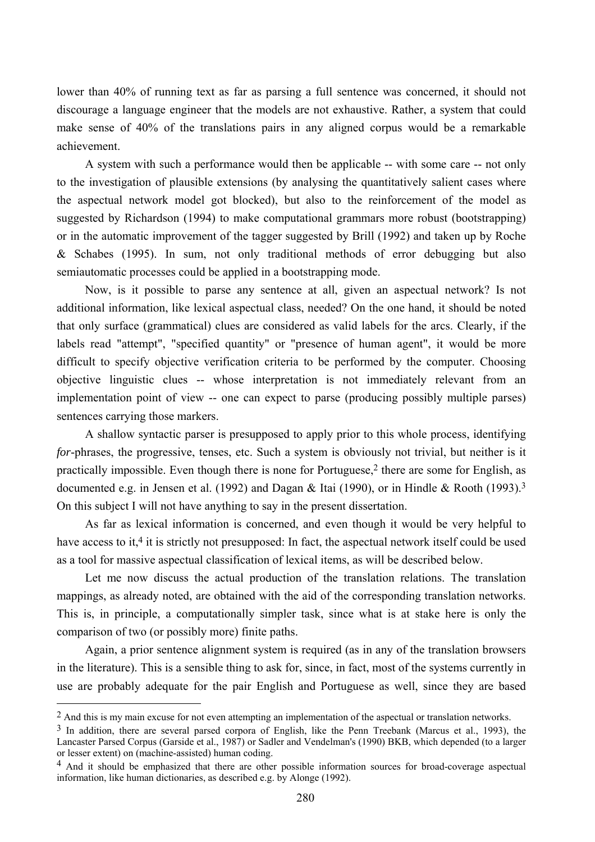lower than 40% of running text as far as parsing a full sentence was concerned, it should not discourage a language engineer that the models are not exhaustive. Rather, a system that could make sense of 40% of the translations pairs in any aligned corpus would be a remarkable achievement.

A system with such a performance would then be applicable -- with some care -- not only to the investigation of plausible extensions (by analysing the quantitatively salient cases where the aspectual network model got blocked), but also to the reinforcement of the model as suggested by Richardson (1994) to make computational grammars more robust (bootstrapping) or in the automatic improvement of the tagger suggested by Brill (1992) and taken up by Roche & Schabes (1995). In sum, not only traditional methods of error debugging but also semiautomatic processes could be applied in a bootstrapping mode.

Now, is it possible to parse any sentence at all, given an aspectual network? Is not additional information, like lexical aspectual class, needed? On the one hand, it should be noted that only surface (grammatical) clues are considered as valid labels for the arcs. Clearly, if the labels read "attempt", "specified quantity" or "presence of human agent", it would be more difficult to specify objective verification criteria to be performed by the computer. Choosing objective linguistic clues -- whose interpretation is not immediately relevant from an implementation point of view -- one can expect to parse (producing possibly multiple parses) sentences carrying those markers.

A shallow syntactic parser is presupposed to apply prior to this whole process, identifying *for*-phrases, the progressive, tenses, etc. Such a system is obviously not trivial, but neither is it practically impossible. Even though there is none for Portuguese,<sup>2</sup> there are some for English, as documented e.g. in Jensen et al. (1992) and Dagan & Itai (1990), or in Hindle & Rooth (1993).<sup>3</sup> On this subject I will not have anything to say in the present dissertation.

As far as lexical information is concerned, and even though it would be very helpful to have access to it,<sup>4</sup> it is strictly not presupposed: In fact, the aspectual network itself could be used as a tool for massive aspectual classification of lexical items, as will be described below.

Let me now discuss the actual production of the translation relations. The translation mappings, as already noted, are obtained with the aid of the corresponding translation networks. This is, in principle, a computationally simpler task, since what is at stake here is only the comparison of two (or possibly more) finite paths.

Again, a prior sentence alignment system is required (as in any of the translation browsers in the literature). This is a sensible thing to ask for, since, in fact, most of the systems currently in use are probably adequate for the pair English and Portuguese as well, since they are based

 $\overline{a}$ 

<sup>&</sup>lt;sup>2</sup> And this is my main excuse for not even attempting an implementation of the aspectual or translation networks.

<sup>3</sup> In addition, there are several parsed corpora of English, like the Penn Treebank (Marcus et al., 1993), the Lancaster Parsed Corpus (Garside et al., 1987) or Sadler and Vendelman's (1990) BKB, which depended (to a larger or lesser extent) on (machine-assisted) human coding.

<sup>4</sup> And it should be emphasized that there are other possible information sources for broad-coverage aspectual information, like human dictionaries, as described e.g. by Alonge (1992).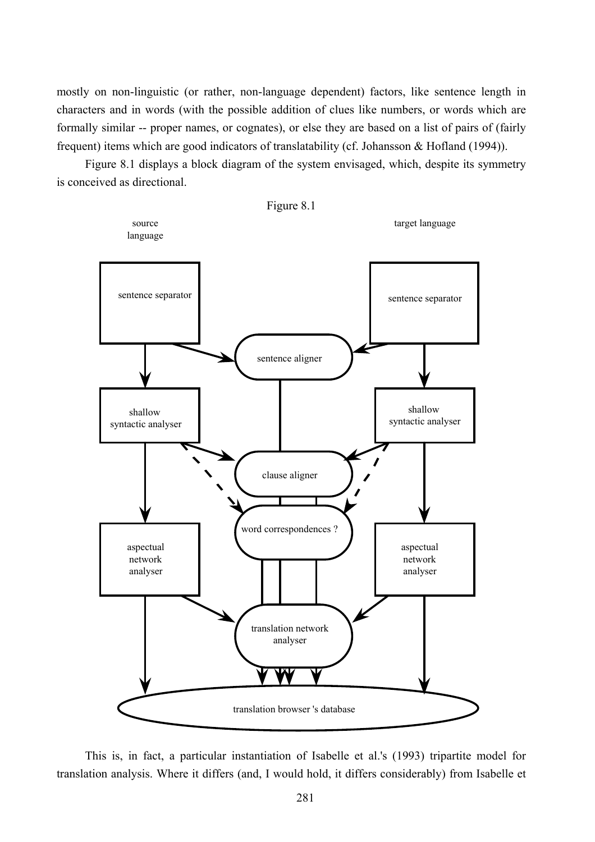mostly on non-linguistic (or rather, non-language dependent) factors, like sentence length in characters and in words (with the possible addition of clues like numbers, or words which are formally similar -- proper names, or cognates), or else they are based on a list of pairs of (fairly frequent) items which are good indicators of translatability (cf. Johansson & Hofland (1994)).

Figure 8.1 displays a block diagram of the system envisaged, which, despite its symmetry is conceived as directional.



This is, in fact, a particular instantiation of Isabelle et al.'s (1993) tripartite model for translation analysis. Where it differs (and, I would hold, it differs considerably) from Isabelle et

281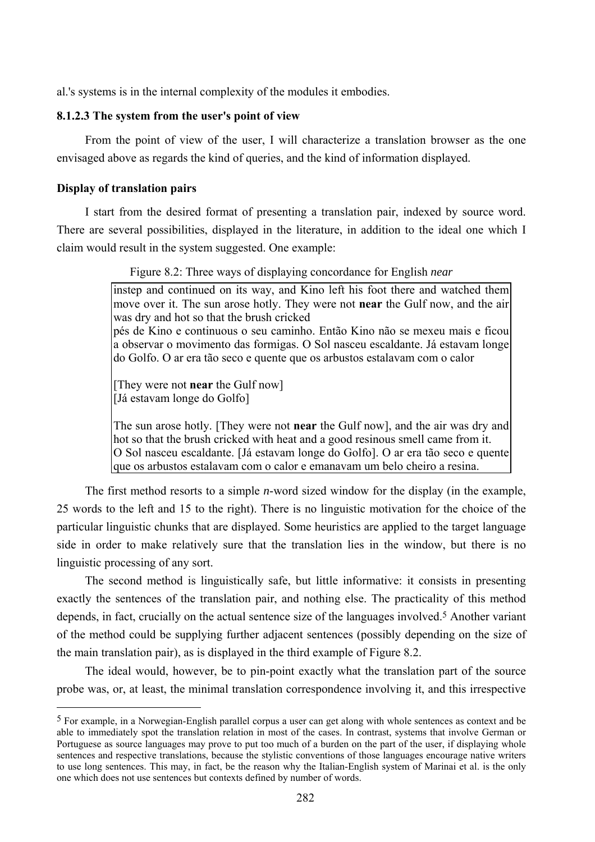al.'s systems is in the internal complexity of the modules it embodies.

# **8.1.2.3 The system from the user's point of view**

From the point of view of the user, I will characterize a translation browser as the one envisaged above as regards the kind of queries, and the kind of information displayed.

# **Display of translation pairs**

 $\overline{a}$ 

I start from the desired format of presenting a translation pair, indexed by source word. There are several possibilities, displayed in the literature, in addition to the ideal one which I claim would result in the system suggested. One example:

Figure 8.2: Three ways of displaying concordance for English *near*

instep and continued on its way, and Kino left his foot there and watched them move over it. The sun arose hotly. They were not **near** the Gulf now, and the air was dry and hot so that the brush cricked pés de Kino e continuous o seu caminho. Então Kino não se mexeu mais e ficou a observar o movimento das formigas. O Sol nasceu escaldante. Já estavam longe do Golfo. O ar era tão seco e quente que os arbustos estalavam com o calor

[They were not **near** the Gulf now] [Já estavam longe do Golfo]

The sun arose hotly. [They were not **near** the Gulf now], and the air was dry and hot so that the brush cricked with heat and a good resinous smell came from it. O Sol nasceu escaldante. [Já estavam longe do Golfo]. O ar era tão seco e quente que os arbustos estalavam com o calor e emanavam um belo cheiro a resina.

The first method resorts to a simple *n*-word sized window for the display (in the example, 25 words to the left and 15 to the right). There is no linguistic motivation for the choice of the particular linguistic chunks that are displayed. Some heuristics are applied to the target language side in order to make relatively sure that the translation lies in the window, but there is no linguistic processing of any sort.

The second method is linguistically safe, but little informative: it consists in presenting exactly the sentences of the translation pair, and nothing else. The practicality of this method depends, in fact, crucially on the actual sentence size of the languages involved.<sup>5</sup> Another variant of the method could be supplying further adjacent sentences (possibly depending on the size of the main translation pair), as is displayed in the third example of Figure 8.2.

The ideal would, however, be to pin-point exactly what the translation part of the source probe was, or, at least, the minimal translation correspondence involving it, and this irrespective

<sup>5</sup> For example, in a Norwegian-English parallel corpus a user can get along with whole sentences as context and be able to immediately spot the translation relation in most of the cases. In contrast, systems that involve German or Portuguese as source languages may prove to put too much of a burden on the part of the user, if displaying whole sentences and respective translations, because the stylistic conventions of those languages encourage native writers to use long sentences. This may, in fact, be the reason why the Italian-English system of Marinai et al. is the only one which does not use sentences but contexts defined by number of words.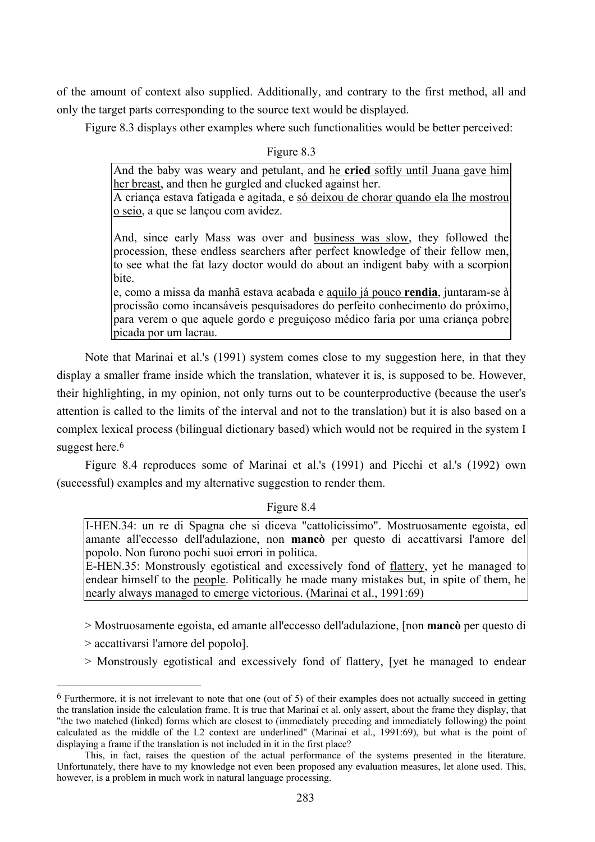of the amount of context also supplied. Additionally, and contrary to the first method, all and only the target parts corresponding to the source text would be displayed.

Figure 8.3 displays other examples where such functionalities would be better perceived:

Figure 8.3

And the baby was weary and petulant, and he **cried** softly until Juana gave him her breast, and then he gurgled and clucked against her. A criança estava fatigada e agitada, e só deixou de chorar quando ela lhe mostrou

o seio, a que se lançou com avidez.

And, since early Mass was over and business was slow, they followed the procession, these endless searchers after perfect knowledge of their fellow men, to see what the fat lazy doctor would do about an indigent baby with a scorpion bite.

e, como a missa da manhã estava acabada e aquilo já pouco **rendia**, juntaram-se à procissão como incansáveis pesquisadores do perfeito conhecimento do próximo, para verem o que aquele gordo e preguiçoso médico faria por uma criança pobre picada por um lacrau.

Note that Marinai et al.'s (1991) system comes close to my suggestion here, in that they display a smaller frame inside which the translation, whatever it is, is supposed to be. However, their highlighting, in my opinion, not only turns out to be counterproductive (because the user's attention is called to the limits of the interval and not to the translation) but it is also based on a complex lexical process (bilingual dictionary based) which would not be required in the system I suggest here.<sup>6</sup>

Figure 8.4 reproduces some of Marinai et al.'s (1991) and Picchi et al.'s (1992) own (successful) examples and my alternative suggestion to render them.

# Figure 8.4

I-HEN.34: un re di Spagna che si diceva "cattolicissimo". Mostruosamente egoista, ed amante all'eccesso dell'adulazione, non **mancò** per questo di accattivarsi l'amore del popolo. Non furono pochi suoi errori in politica.

E-HEN.35: Monstrously egotistical and excessively fond of flattery, yet he managed to endear himself to the people. Politically he made many mistakes but, in spite of them, he nearly always managed to emerge victorious. (Marinai et al., 1991:69)

- > Mostruosamente egoista, ed amante all'eccesso dell'adulazione, [non **mancò** per questo di
- > accattivarsi l'amore del popolo].

 $\overline{a}$ 

> Monstrously egotistical and excessively fond of flattery, [yet he managed to endear

 $6$  Furthermore, it is not irrelevant to note that one (out of 5) of their examples does not actually succeed in getting the translation inside the calculation frame. It is true that Marinai et al. only assert, about the frame they display, that "the two matched (linked) forms which are closest to (immediately preceding and immediately following) the point calculated as the middle of the L2 context are underlined" (Marinai et al., 1991:69), but what is the point of displaying a frame if the translation is not included in it in the first place?

This, in fact, raises the question of the actual performance of the systems presented in the literature. Unfortunately, there have to my knowledge not even been proposed any evaluation measures, let alone used. This, however, is a problem in much work in natural language processing.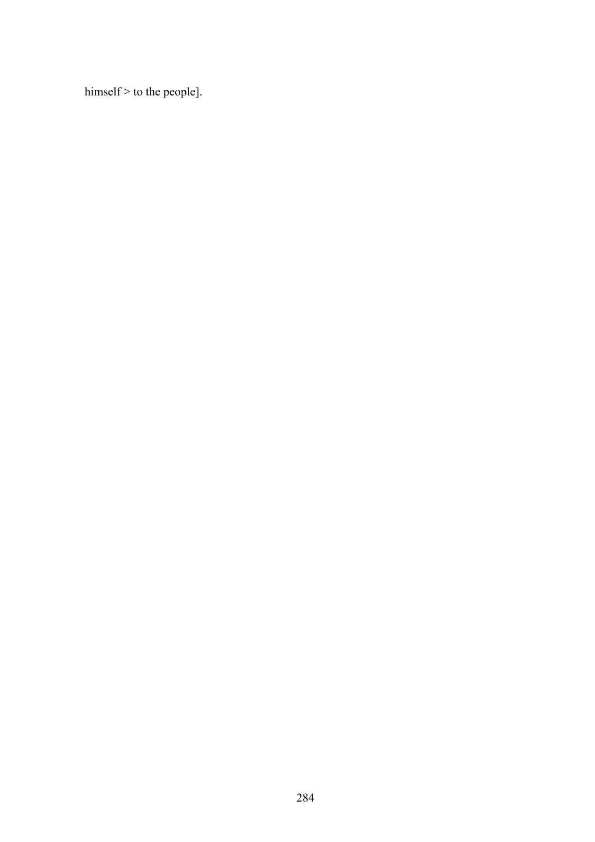himself > to the people].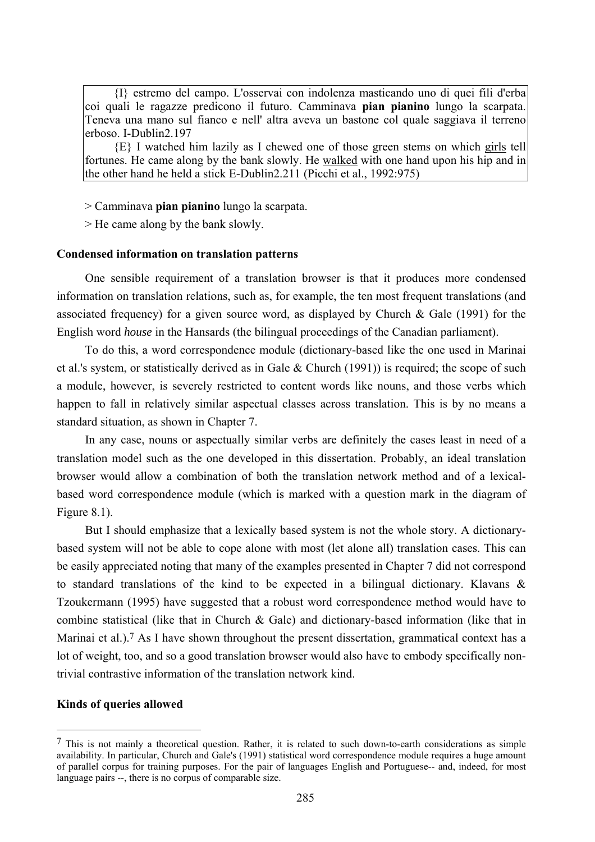{I} estremo del campo. L'osservai con indolenza masticando uno di quei fili d'erba coi quali le ragazze predicono il futuro. Camminava **pian pianino** lungo la scarpata. Teneva una mano sul fianco e nell' altra aveva un bastone col quale saggiava il terreno erboso. I-Dublin2.197

{E} I watched him lazily as I chewed one of those green stems on which girls tell fortunes. He came along by the bank slowly. He walked with one hand upon his hip and in the other hand he held a stick E-Dublin2.211 (Picchi et al., 1992:975)

> Camminava **pian pianino** lungo la scarpata.

> He came along by the bank slowly.

### **Condensed information on translation patterns**

One sensible requirement of a translation browser is that it produces more condensed information on translation relations, such as, for example, the ten most frequent translations (and associated frequency) for a given source word, as displayed by Church & Gale (1991) for the English word *house* in the Hansards (the bilingual proceedings of the Canadian parliament).

To do this, a word correspondence module (dictionary-based like the one used in Marinai et al.'s system, or statistically derived as in Gale & Church (1991)) is required; the scope of such a module, however, is severely restricted to content words like nouns, and those verbs which happen to fall in relatively similar aspectual classes across translation. This is by no means a standard situation, as shown in Chapter 7.

In any case, nouns or aspectually similar verbs are definitely the cases least in need of a translation model such as the one developed in this dissertation. Probably, an ideal translation browser would allow a combination of both the translation network method and of a lexicalbased word correspondence module (which is marked with a question mark in the diagram of Figure 8.1).

But I should emphasize that a lexically based system is not the whole story. A dictionarybased system will not be able to cope alone with most (let alone all) translation cases. This can be easily appreciated noting that many of the examples presented in Chapter 7 did not correspond to standard translations of the kind to be expected in a bilingual dictionary. Klavans & Tzoukermann (1995) have suggested that a robust word correspondence method would have to combine statistical (like that in Church & Gale) and dictionary-based information (like that in Marinai et al.).<sup>7</sup> As I have shown throughout the present dissertation, grammatical context has a lot of weight, too, and so a good translation browser would also have to embody specifically nontrivial contrastive information of the translation network kind.

#### **Kinds of queries allowed**

 $\overline{a}$ 

 $<sup>7</sup>$  This is not mainly a theoretical question. Rather, it is related to such down-to-earth considerations as simple</sup> availability. In particular, Church and Gale's (1991) statistical word correspondence module requires a huge amount of parallel corpus for training purposes. For the pair of languages English and Portuguese-- and, indeed, for most language pairs --, there is no corpus of comparable size.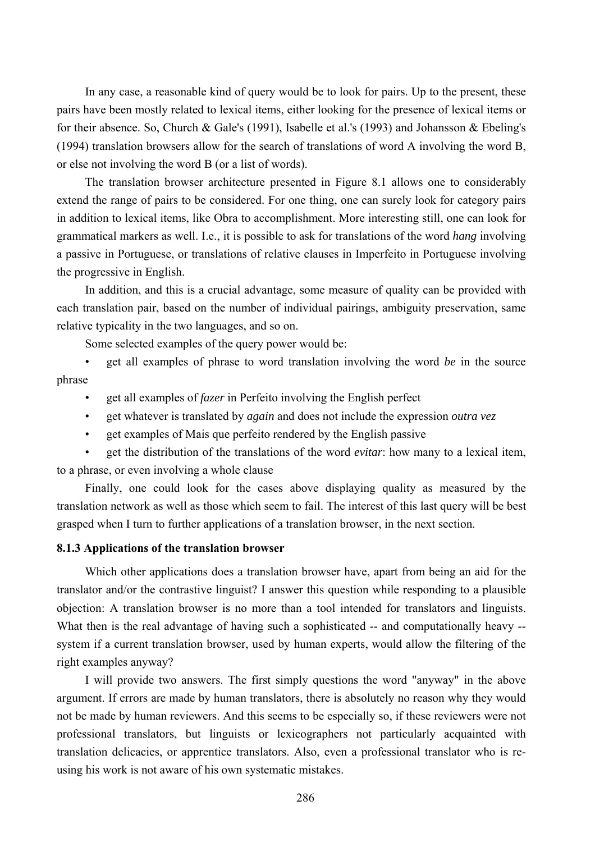In any case, a reasonable kind of query would be to look for pairs. Up to the present, these pairs have been mostly related to lexical items, either looking for the presence of lexical items or for their absence. So, Church & Gale's (1991), Isabelle et al.'s (1993) and Johansson & Ebeling's (1994) translation browsers allow for the search of translations of word A involving the word B, or else not involving the word B (or a list of words).

The translation browser architecture presented in Figure 8.1 allows one to considerably extend the range of pairs to be considered. For one thing, one can surely look for category pairs in addition to lexical items, like Obra to accomplishment. More interesting still, one can look for grammatical markers as well. I.e., it is possible to ask for translations of the word *hang* involving a passive in Portuguese, or translations of relative clauses in Imperfeito in Portuguese involving the progressive in English.

In addition, and this is a crucial advantage, some measure of quality can be provided with each translation pair, based on the number of individual pairings, ambiguity preservation, same relative typicality in the two languages, and so on.

Some selected examples of the query power would be:

• get all examples of phrase to word translation involving the word *be* in the source phrase

- get all examples of *fazer* in Perfeito involving the English perfect
- get whatever is translated by *again* and does not include the expression *outra vez*
- get examples of Mais que perfeito rendered by the English passive

• get the distribution of the translations of the word *evitar*: how many to a lexical item, to a phrase, or even involving a whole clause

Finally, one could look for the cases above displaying quality as measured by the translation network as well as those which seem to fail. The interest of this last query will be best grasped when I turn to further applications of a translation browser, in the next section.

## **8.1.3 Applications of the translation browser**

Which other applications does a translation browser have, apart from being an aid for the translator and/or the contrastive linguist? I answer this question while responding to a plausible objection: A translation browser is no more than a tool intended for translators and linguists. What then is the real advantage of having such a sophisticated -- and computationally heavy -system if a current translation browser, used by human experts, would allow the filtering of the right examples anyway?

I will provide two answers. The first simply questions the word "anyway" in the above argument. If errors are made by human translators, there is absolutely no reason why they would not be made by human reviewers. And this seems to be especially so, if these reviewers were not professional translators, but linguists or lexicographers not particularly acquainted with translation delicacies, or apprentice translators. Also, even a professional translator who is reusing his work is not aware of his own systematic mistakes.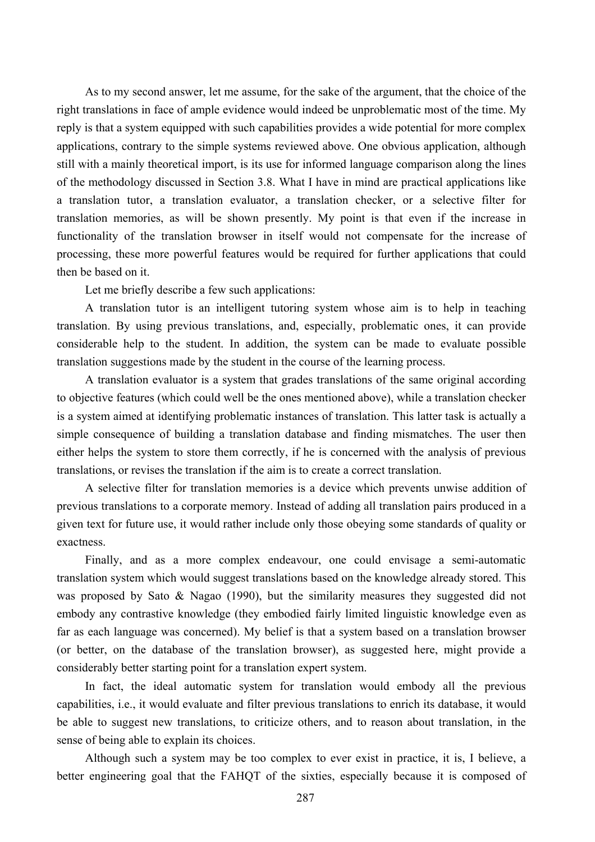As to my second answer, let me assume, for the sake of the argument, that the choice of the right translations in face of ample evidence would indeed be unproblematic most of the time. My reply is that a system equipped with such capabilities provides a wide potential for more complex applications, contrary to the simple systems reviewed above. One obvious application, although still with a mainly theoretical import, is its use for informed language comparison along the lines of the methodology discussed in Section 3.8. What I have in mind are practical applications like a translation tutor, a translation evaluator, a translation checker, or a selective filter for translation memories, as will be shown presently. My point is that even if the increase in functionality of the translation browser in itself would not compensate for the increase of processing, these more powerful features would be required for further applications that could then be based on it.

Let me briefly describe a few such applications:

A translation tutor is an intelligent tutoring system whose aim is to help in teaching translation. By using previous translations, and, especially, problematic ones, it can provide considerable help to the student. In addition, the system can be made to evaluate possible translation suggestions made by the student in the course of the learning process.

A translation evaluator is a system that grades translations of the same original according to objective features (which could well be the ones mentioned above), while a translation checker is a system aimed at identifying problematic instances of translation. This latter task is actually a simple consequence of building a translation database and finding mismatches. The user then either helps the system to store them correctly, if he is concerned with the analysis of previous translations, or revises the translation if the aim is to create a correct translation.

A selective filter for translation memories is a device which prevents unwise addition of previous translations to a corporate memory. Instead of adding all translation pairs produced in a given text for future use, it would rather include only those obeying some standards of quality or exactness.

Finally, and as a more complex endeavour, one could envisage a semi-automatic translation system which would suggest translations based on the knowledge already stored. This was proposed by Sato & Nagao (1990), but the similarity measures they suggested did not embody any contrastive knowledge (they embodied fairly limited linguistic knowledge even as far as each language was concerned). My belief is that a system based on a translation browser (or better, on the database of the translation browser), as suggested here, might provide a considerably better starting point for a translation expert system.

In fact, the ideal automatic system for translation would embody all the previous capabilities, i.e., it would evaluate and filter previous translations to enrich its database, it would be able to suggest new translations, to criticize others, and to reason about translation, in the sense of being able to explain its choices.

Although such a system may be too complex to ever exist in practice, it is, I believe, a better engineering goal that the FAHQT of the sixties, especially because it is composed of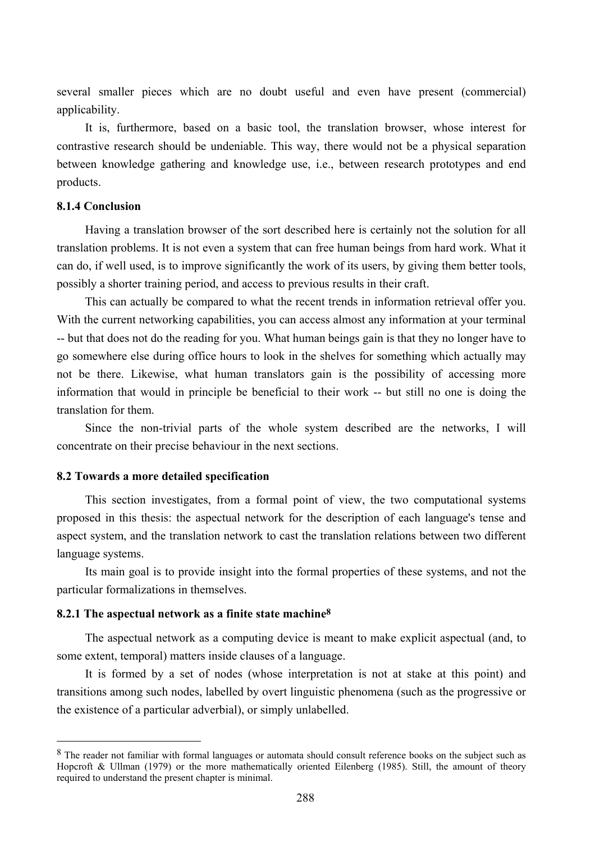several smaller pieces which are no doubt useful and even have present (commercial) applicability.

It is, furthermore, based on a basic tool, the translation browser, whose interest for contrastive research should be undeniable. This way, there would not be a physical separation between knowledge gathering and knowledge use, i.e., between research prototypes and end products.

# **8.1.4 Conclusion**

 $\overline{a}$ 

Having a translation browser of the sort described here is certainly not the solution for all translation problems. It is not even a system that can free human beings from hard work. What it can do, if well used, is to improve significantly the work of its users, by giving them better tools, possibly a shorter training period, and access to previous results in their craft.

This can actually be compared to what the recent trends in information retrieval offer you. With the current networking capabilities, you can access almost any information at your terminal -- but that does not do the reading for you. What human beings gain is that they no longer have to go somewhere else during office hours to look in the shelves for something which actually may not be there. Likewise, what human translators gain is the possibility of accessing more information that would in principle be beneficial to their work -- but still no one is doing the translation for them.

Since the non-trivial parts of the whole system described are the networks, I will concentrate on their precise behaviour in the next sections.

### **8.2 Towards a more detailed specification**

This section investigates, from a formal point of view, the two computational systems proposed in this thesis: the aspectual network for the description of each language's tense and aspect system, and the translation network to cast the translation relations between two different language systems.

Its main goal is to provide insight into the formal properties of these systems, and not the particular formalizations in themselves.

# **8.2.1 The aspectual network as a finite state machine8**

The aspectual network as a computing device is meant to make explicit aspectual (and, to some extent, temporal) matters inside clauses of a language.

It is formed by a set of nodes (whose interpretation is not at stake at this point) and transitions among such nodes, labelled by overt linguistic phenomena (such as the progressive or the existence of a particular adverbial), or simply unlabelled.

<sup>&</sup>lt;sup>8</sup> The reader not familiar with formal languages or automata should consult reference books on the subject such as Hopcroft & Ullman (1979) or the more mathematically oriented Eilenberg (1985). Still, the amount of theory required to understand the present chapter is minimal.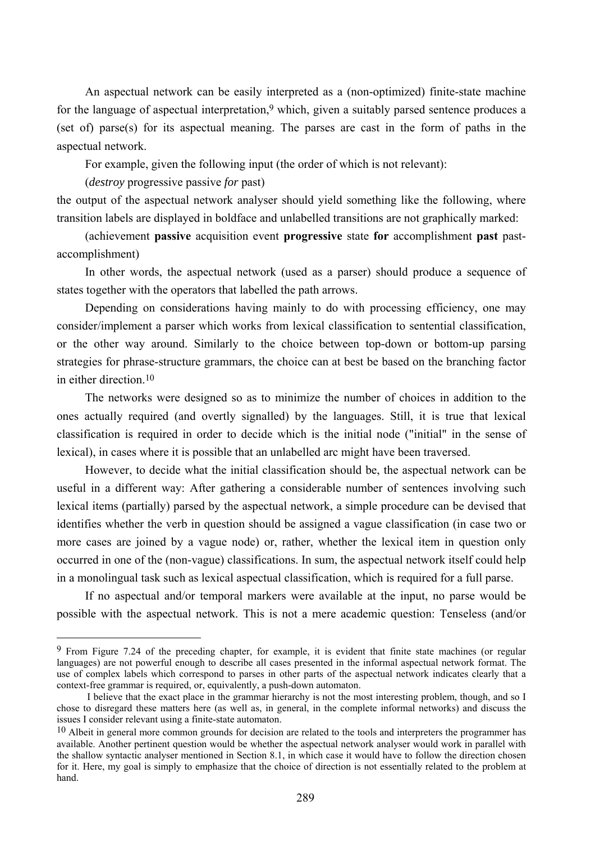An aspectual network can be easily interpreted as a (non-optimized) finite-state machine for the language of aspectual interpretation,<sup>9</sup> which, given a suitably parsed sentence produces a (set of) parse(s) for its aspectual meaning. The parses are cast in the form of paths in the aspectual network.

For example, given the following input (the order of which is not relevant):

(*destroy* progressive passive *for* past)

 $\overline{a}$ 

the output of the aspectual network analyser should yield something like the following, where transition labels are displayed in boldface and unlabelled transitions are not graphically marked:

(achievement **passive** acquisition event **progressive** state **for** accomplishment **past** pastaccomplishment)

In other words, the aspectual network (used as a parser) should produce a sequence of states together with the operators that labelled the path arrows.

Depending on considerations having mainly to do with processing efficiency, one may consider/implement a parser which works from lexical classification to sentential classification, or the other way around. Similarly to the choice between top-down or bottom-up parsing strategies for phrase-structure grammars, the choice can at best be based on the branching factor in either direction  $10$ 

The networks were designed so as to minimize the number of choices in addition to the ones actually required (and overtly signalled) by the languages. Still, it is true that lexical classification is required in order to decide which is the initial node ("initial" in the sense of lexical), in cases where it is possible that an unlabelled arc might have been traversed.

However, to decide what the initial classification should be, the aspectual network can be useful in a different way: After gathering a considerable number of sentences involving such lexical items (partially) parsed by the aspectual network, a simple procedure can be devised that identifies whether the verb in question should be assigned a vague classification (in case two or more cases are joined by a vague node) or, rather, whether the lexical item in question only occurred in one of the (non-vague) classifications. In sum, the aspectual network itself could help in a monolingual task such as lexical aspectual classification, which is required for a full parse.

If no aspectual and/or temporal markers were available at the input, no parse would be possible with the aspectual network. This is not a mere academic question: Tenseless (and/or

<sup>9</sup> From Figure 7.24 of the preceding chapter, for example, it is evident that finite state machines (or regular languages) are not powerful enough to describe all cases presented in the informal aspectual network format. The use of complex labels which correspond to parses in other parts of the aspectual network indicates clearly that a context-free grammar is required, or, equivalently, a push-down automaton.

I believe that the exact place in the grammar hierarchy is not the most interesting problem, though, and so I chose to disregard these matters here (as well as, in general, in the complete informal networks) and discuss the issues I consider relevant using a finite-state automaton.

<sup>&</sup>lt;sup>10</sup> Albeit in general more common grounds for decision are related to the tools and interpreters the programmer has available. Another pertinent question would be whether the aspectual network analyser would work in parallel with the shallow syntactic analyser mentioned in Section 8.1, in which case it would have to follow the direction chosen for it. Here, my goal is simply to emphasize that the choice of direction is not essentially related to the problem at hand.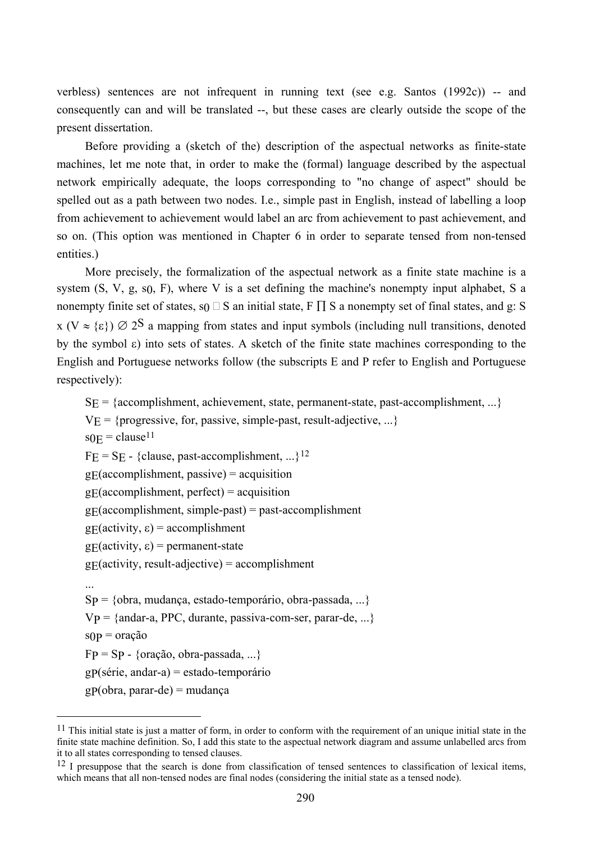verbless) sentences are not infrequent in running text (see e.g. Santos (1992c)) -- and consequently can and will be translated --, but these cases are clearly outside the scope of the present dissertation.

Before providing a (sketch of the) description of the aspectual networks as finite-state machines, let me note that, in order to make the (formal) language described by the aspectual network empirically adequate, the loops corresponding to "no change of aspect" should be spelled out as a path between two nodes. I.e., simple past in English, instead of labelling a loop from achievement to achievement would label an arc from achievement to past achievement, and so on. (This option was mentioned in Chapter 6 in order to separate tensed from non-tensed entities.)

More precisely, the formalization of the aspectual network as a finite state machine is a system  $(S, V, g, s_0, F)$ , where V is a set defining the machine's nonempty input alphabet, S a nonempty finite set of states, s<sub>0</sub>  $\Box$  S an initial state, F  $\Pi$  S a nonempty set of final states, and g: S  $x (V \approx {\epsilon}) \varnothing 2^S$  a mapping from states and input symbols (including null transitions, denoted by the symbol  $\varepsilon$ ) into sets of states. A sketch of the finite state machines corresponding to the English and Portuguese networks follow (the subscripts E and P refer to English and Portuguese respectively):

 $S<sub>E</sub> = {accomplishment, achievement, state, permanent-state, past-accomplishment, ...}$ 

 $V_E$  = {progressive, for, passive, simple-past, result-adjective, ...}

 $s_{0E} = clause^{11}$ 

 $\overline{a}$ 

 $FE = SE - \{clause, past-accomplishment, ...\}^{12}$ 

 $g_{\rm E}$ (accomplishment, passive) = acquisition

 $g_{\rm E}$ (accomplishment, perfect) = acquisition

 $g_{\rm F}$ (accomplishment, simple-past) = past-accomplishment

g $E(\text{activity}, \varepsilon) = \text{accomplishment}$ 

g $E(\text{activity}, \varepsilon) = \text{permannent-state}$ 

 $g_{\text{E}}$ (activity, result-adjective) = accomplishment

...  $Sp = \{obra, mudanca, estado-temporário, obra-passada, ...\}$  $Vp = \{andar-a, PPC, durante, passiva-com-ser, parar-de, ...\}$  $s(p = \text{or} a\hat{\alpha} \hat{\alpha})$  $FP = Sp - \{orac\tilde{a}o, obra-passada, ...\}$ gP(série, andar-a) = estado-temporário  $gp(obra, parar-de) = mudança$ 

 $11$  This initial state is just a matter of form, in order to conform with the requirement of an unique initial state in the finite state machine definition. So, I add this state to the aspectual network diagram and assume unlabelled arcs from it to all states corresponding to tensed clauses.

<sup>&</sup>lt;sup>12</sup> I presuppose that the search is done from classification of tensed sentences to classification of lexical items, which means that all non-tensed nodes are final nodes (considering the initial state as a tensed node).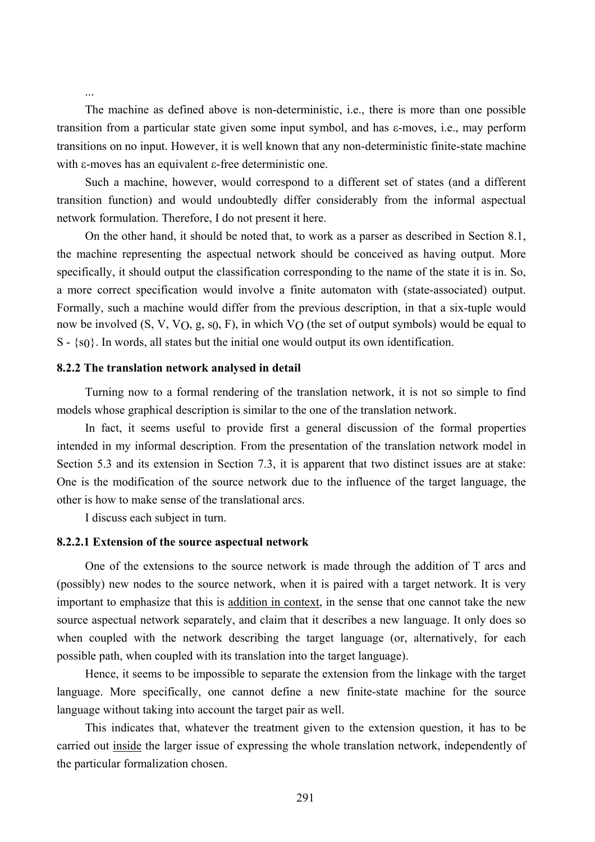The machine as defined above is non-deterministic, i.e., there is more than one possible transition from a particular state given some input symbol, and has ε-moves, i.e., may perform transitions on no input. However, it is well known that any non-deterministic finite-state machine with ε-moves has an equivalent ε-free deterministic one.

Such a machine, however, would correspond to a different set of states (and a different transition function) and would undoubtedly differ considerably from the informal aspectual network formulation. Therefore, I do not present it here.

On the other hand, it should be noted that, to work as a parser as described in Section 8.1, the machine representing the aspectual network should be conceived as having output. More specifically, it should output the classification corresponding to the name of the state it is in. So, a more correct specification would involve a finite automaton with (state-associated) output. Formally, such a machine would differ from the previous description, in that a six-tuple would now be involved (S, V, V<sub>O</sub>, g, s<sub>0</sub>, F), in which V<sub>O</sub> (the set of output symbols) would be equal to S - {s0}. In words, all states but the initial one would output its own identification.

### **8.2.2 The translation network analysed in detail**

...

Turning now to a formal rendering of the translation network, it is not so simple to find models whose graphical description is similar to the one of the translation network.

In fact, it seems useful to provide first a general discussion of the formal properties intended in my informal description. From the presentation of the translation network model in Section 5.3 and its extension in Section 7.3, it is apparent that two distinct issues are at stake: One is the modification of the source network due to the influence of the target language, the other is how to make sense of the translational arcs.

I discuss each subject in turn.

### **8.2.2.1 Extension of the source aspectual network**

One of the extensions to the source network is made through the addition of T arcs and (possibly) new nodes to the source network, when it is paired with a target network. It is very important to emphasize that this is addition in context, in the sense that one cannot take the new source aspectual network separately, and claim that it describes a new language. It only does so when coupled with the network describing the target language (or, alternatively, for each possible path, when coupled with its translation into the target language).

Hence, it seems to be impossible to separate the extension from the linkage with the target language. More specifically, one cannot define a new finite-state machine for the source language without taking into account the target pair as well.

This indicates that, whatever the treatment given to the extension question, it has to be carried out inside the larger issue of expressing the whole translation network, independently of the particular formalization chosen.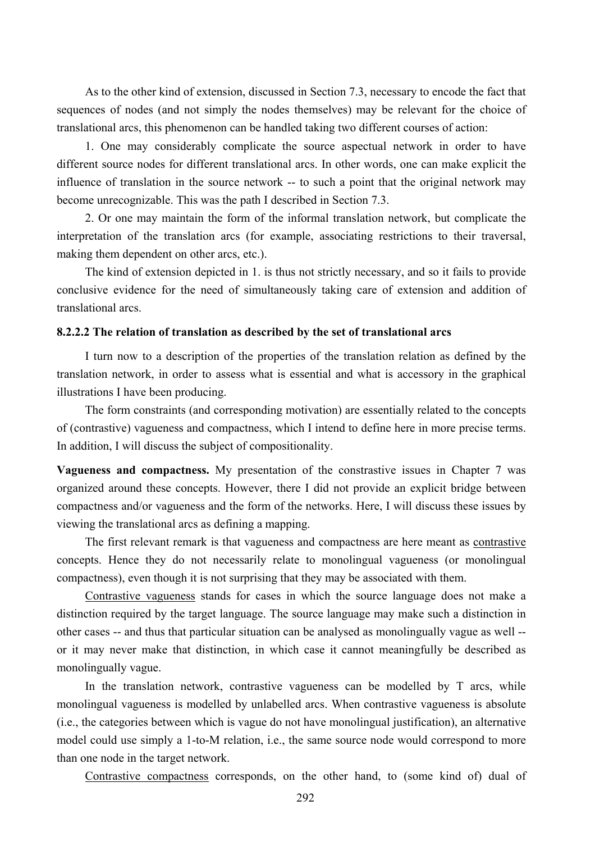As to the other kind of extension, discussed in Section 7.3, necessary to encode the fact that sequences of nodes (and not simply the nodes themselves) may be relevant for the choice of translational arcs, this phenomenon can be handled taking two different courses of action:

1. One may considerably complicate the source aspectual network in order to have different source nodes for different translational arcs. In other words, one can make explicit the influence of translation in the source network -- to such a point that the original network may become unrecognizable. This was the path I described in Section 7.3.

2. Or one may maintain the form of the informal translation network, but complicate the interpretation of the translation arcs (for example, associating restrictions to their traversal, making them dependent on other arcs, etc.).

The kind of extension depicted in 1. is thus not strictly necessary, and so it fails to provide conclusive evidence for the need of simultaneously taking care of extension and addition of translational arcs.

## **8.2.2.2 The relation of translation as described by the set of translational arcs**

I turn now to a description of the properties of the translation relation as defined by the translation network, in order to assess what is essential and what is accessory in the graphical illustrations I have been producing.

The form constraints (and corresponding motivation) are essentially related to the concepts of (contrastive) vagueness and compactness, which I intend to define here in more precise terms. In addition, I will discuss the subject of compositionality.

**Vagueness and compactness.** My presentation of the constrastive issues in Chapter 7 was organized around these concepts. However, there I did not provide an explicit bridge between compactness and/or vagueness and the form of the networks. Here, I will discuss these issues by viewing the translational arcs as defining a mapping.

The first relevant remark is that vagueness and compactness are here meant as contrastive concepts. Hence they do not necessarily relate to monolingual vagueness (or monolingual compactness), even though it is not surprising that they may be associated with them.

Contrastive vagueness stands for cases in which the source language does not make a distinction required by the target language. The source language may make such a distinction in other cases -- and thus that particular situation can be analysed as monolingually vague as well - or it may never make that distinction, in which case it cannot meaningfully be described as monolingually vague.

In the translation network, contrastive vagueness can be modelled by T arcs, while monolingual vagueness is modelled by unlabelled arcs. When contrastive vagueness is absolute (i.e., the categories between which is vague do not have monolingual justification), an alternative model could use simply a 1-to-M relation, i.e., the same source node would correspond to more than one node in the target network.

Contrastive compactness corresponds, on the other hand, to (some kind of) dual of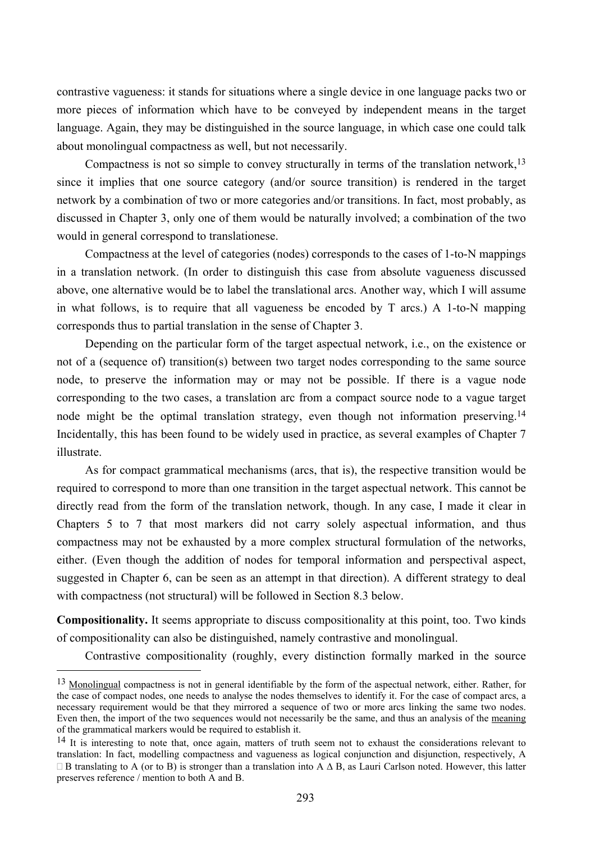contrastive vagueness: it stands for situations where a single device in one language packs two or more pieces of information which have to be conveyed by independent means in the target language. Again, they may be distinguished in the source language, in which case one could talk about monolingual compactness as well, but not necessarily.

Compactness is not so simple to convey structurally in terms of the translation network,13 since it implies that one source category (and/or source transition) is rendered in the target network by a combination of two or more categories and/or transitions. In fact, most probably, as discussed in Chapter 3, only one of them would be naturally involved; a combination of the two would in general correspond to translationese.

Compactness at the level of categories (nodes) corresponds to the cases of 1-to-N mappings in a translation network. (In order to distinguish this case from absolute vagueness discussed above, one alternative would be to label the translational arcs. Another way, which I will assume in what follows, is to require that all vagueness be encoded by T arcs.) A 1-to-N mapping corresponds thus to partial translation in the sense of Chapter 3.

Depending on the particular form of the target aspectual network, i.e., on the existence or not of a (sequence of) transition(s) between two target nodes corresponding to the same source node, to preserve the information may or may not be possible. If there is a vague node corresponding to the two cases, a translation arc from a compact source node to a vague target node might be the optimal translation strategy, even though not information preserving.<sup>14</sup> Incidentally, this has been found to be widely used in practice, as several examples of Chapter 7 illustrate.

As for compact grammatical mechanisms (arcs, that is), the respective transition would be required to correspond to more than one transition in the target aspectual network. This cannot be directly read from the form of the translation network, though. In any case, I made it clear in Chapters 5 to 7 that most markers did not carry solely aspectual information, and thus compactness may not be exhausted by a more complex structural formulation of the networks, either. (Even though the addition of nodes for temporal information and perspectival aspect, suggested in Chapter 6, can be seen as an attempt in that direction). A different strategy to deal with compactness (not structural) will be followed in Section 8.3 below.

**Compositionality.** It seems appropriate to discuss compositionality at this point, too. Two kinds of compositionality can also be distinguished, namely contrastive and monolingual.

Contrastive compositionality (roughly, every distinction formally marked in the source

 $\overline{a}$ 

<sup>13</sup> Monolingual compactness is not in general identifiable by the form of the aspectual network, either. Rather, for the case of compact nodes, one needs to analyse the nodes themselves to identify it. For the case of compact arcs, a necessary requirement would be that they mirrored a sequence of two or more arcs linking the same two nodes. Even then, the import of the two sequences would not necessarily be the same, and thus an analysis of the meaning of the grammatical markers would be required to establish it.

<sup>&</sup>lt;sup>14</sup> It is interesting to note that, once again, matters of truth seem not to exhaust the considerations relevant to translation: In fact, modelling compactness and vagueness as logical conjunction and disjunction, respectively, A  $\Box$  B translating to A (or to B) is stronger than a translation into A  $\Delta$  B, as Lauri Carlson noted. However, this latter preserves reference / mention to both A and B.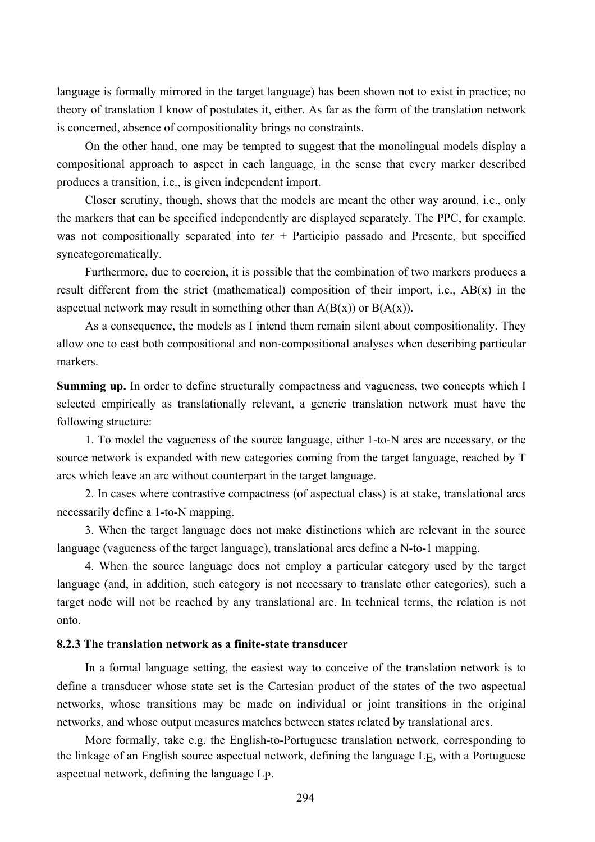language is formally mirrored in the target language) has been shown not to exist in practice; no theory of translation I know of postulates it, either. As far as the form of the translation network is concerned, absence of compositionality brings no constraints.

On the other hand, one may be tempted to suggest that the monolingual models display a compositional approach to aspect in each language, in the sense that every marker described produces a transition, i.e., is given independent import.

Closer scrutiny, though, shows that the models are meant the other way around, i.e., only the markers that can be specified independently are displayed separately. The PPC, for example. was not compositionally separated into *ter* + Particípio passado and Presente, but specified syncategorematically.

Furthermore, due to coercion, it is possible that the combination of two markers produces a result different from the strict (mathematical) composition of their import, i.e., AB(x) in the aspectual network may result in something other than  $A(B(x))$  or  $B(A(x))$ .

As a consequence, the models as I intend them remain silent about compositionality. They allow one to cast both compositional and non-compositional analyses when describing particular markers.

**Summing up.** In order to define structurally compactness and vagueness, two concepts which I selected empirically as translationally relevant, a generic translation network must have the following structure:

1. To model the vagueness of the source language, either 1-to-N arcs are necessary, or the source network is expanded with new categories coming from the target language, reached by T arcs which leave an arc without counterpart in the target language.

2. In cases where contrastive compactness (of aspectual class) is at stake, translational arcs necessarily define a 1-to-N mapping.

3. When the target language does not make distinctions which are relevant in the source language (vagueness of the target language), translational arcs define a N-to-1 mapping.

4. When the source language does not employ a particular category used by the target language (and, in addition, such category is not necessary to translate other categories), such a target node will not be reached by any translational arc. In technical terms, the relation is not onto.

# **8.2.3 The translation network as a finite-state transducer**

In a formal language setting, the easiest way to conceive of the translation network is to define a transducer whose state set is the Cartesian product of the states of the two aspectual networks, whose transitions may be made on individual or joint transitions in the original networks, and whose output measures matches between states related by translational arcs.

More formally, take e.g. the English-to-Portuguese translation network, corresponding to the linkage of an English source aspectual network, defining the language LE, with a Portuguese aspectual network, defining the language LP.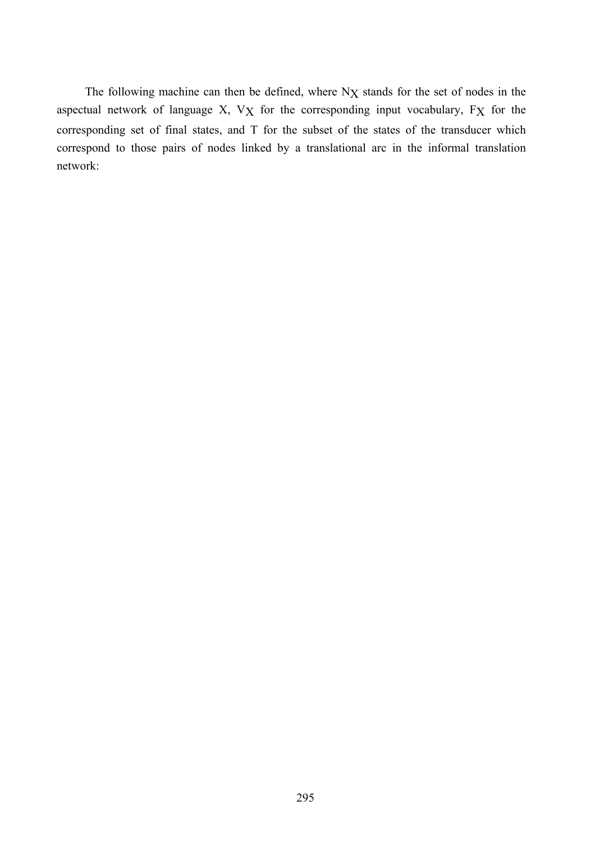The following machine can then be defined, where N<sub>X</sub> stands for the set of nodes in the aspectual network of language X, VX for the corresponding input vocabulary, FX for the corresponding set of final states, and T for the subset of the states of the transducer which correspond to those pairs of nodes linked by a translational arc in the informal translation network: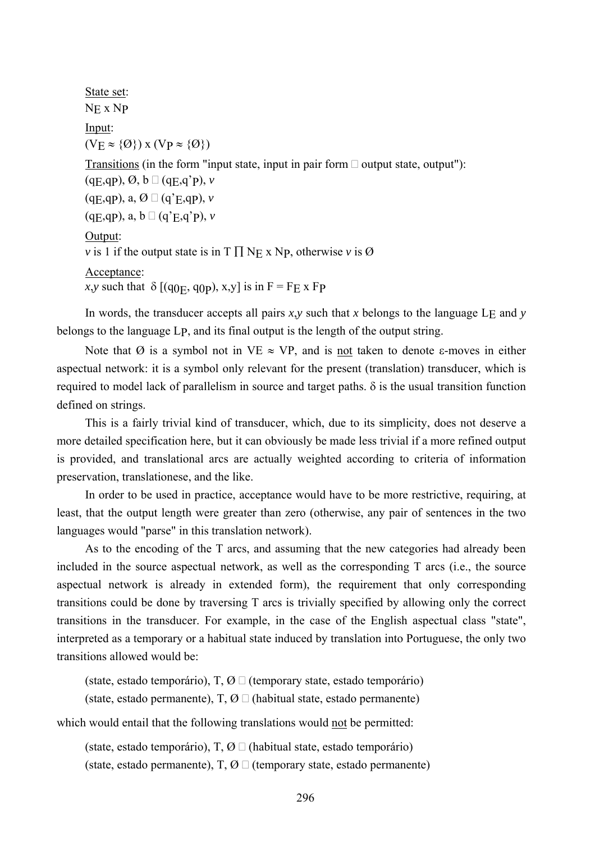State set: NE x NP Input:  $(VE \approx \{Q\})$  x  $(VP \approx \{Q\})$ Transitions (in the form "input state, input in pair form  $\Box$  output state, output"):  $(qE,qP), \emptyset, b \square (qE,q'P), \nu$  $(qE,qP), a, \emptyset \square (q'E,qP), \nu$  $(qE,qP), a, b \Box (q'E,q'P), v$ Output: *v* is 1 if the output state is in  $T \prod_{i} N_{E_i} \times N_{P_i}$ , otherwise *v* is Ø Acceptance: *x*,*y* such that  $\delta$  [(q<sub>0E</sub>, q<sub>0P</sub>), x<sub>1</sub>,y<sup>]</sup> is in F = F<sub>E</sub> x F<sub>P</sub>

In words, the transducer accepts all pairs  $x, y$  such that  $x$  belongs to the language L<sub>E</sub> and  $y$ belongs to the language LP, and its final output is the length of the output string.

Note that *Ø* is a symbol not in VE  $\approx$  VP, and is not taken to denote ε-moves in either aspectual network: it is a symbol only relevant for the present (translation) transducer, which is required to model lack of parallelism in source and target paths. δ is the usual transition function defined on strings.

This is a fairly trivial kind of transducer, which, due to its simplicity, does not deserve a more detailed specification here, but it can obviously be made less trivial if a more refined output is provided, and translational arcs are actually weighted according to criteria of information preservation, translationese, and the like.

In order to be used in practice, acceptance would have to be more restrictive, requiring, at least, that the output length were greater than zero (otherwise, any pair of sentences in the two languages would "parse" in this translation network).

As to the encoding of the T arcs, and assuming that the new categories had already been included in the source aspectual network, as well as the corresponding T arcs (i.e., the source aspectual network is already in extended form), the requirement that only corresponding transitions could be done by traversing T arcs is trivially specified by allowing only the correct transitions in the transducer. For example, in the case of the English aspectual class "state", interpreted as a temporary or a habitual state induced by translation into Portuguese, the only two transitions allowed would be:

(state, estado temporário), T,  $\emptyset \square$  (temporary state, estado temporário) (state, estado permanente),  $T, \emptyset \square$  (habitual state, estado permanente)

which would entail that the following translations would not be permitted:

(state, estado temporário),  $T, \emptyset \square$  (habitual state, estado temporário) (state, estado permanente),  $T, \emptyset \square$  (temporary state, estado permanente)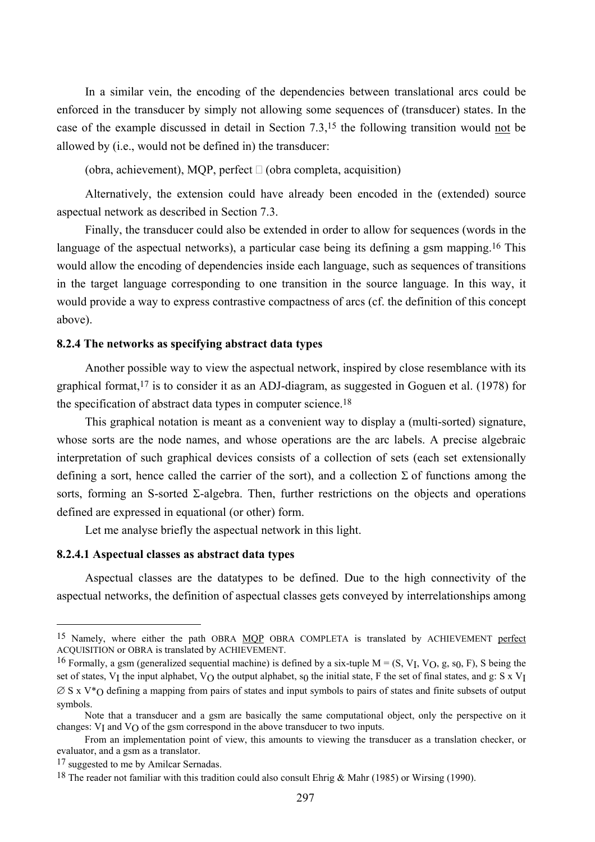In a similar vein, the encoding of the dependencies between translational arcs could be enforced in the transducer by simply not allowing some sequences of (transducer) states. In the case of the example discussed in detail in Section 7.3,15 the following transition would not be allowed by (i.e., would not be defined in) the transducer:

(obra, achievement), MOP, perfect  $\Box$  (obra completa, acquisition)

Alternatively, the extension could have already been encoded in the (extended) source aspectual network as described in Section 7.3.

Finally, the transducer could also be extended in order to allow for sequences (words in the language of the aspectual networks), a particular case being its defining a gsm mapping.<sup>16</sup> This would allow the encoding of dependencies inside each language, such as sequences of transitions in the target language corresponding to one transition in the source language. In this way, it would provide a way to express contrastive compactness of arcs (cf. the definition of this concept above).

### **8.2.4 The networks as specifying abstract data types**

Another possible way to view the aspectual network, inspired by close resemblance with its graphical format,17 is to consider it as an ADJ-diagram, as suggested in Goguen et al. (1978) for the specification of abstract data types in computer science.18

This graphical notation is meant as a convenient way to display a (multi-sorted) signature, whose sorts are the node names, and whose operations are the arc labels. A precise algebraic interpretation of such graphical devices consists of a collection of sets (each set extensionally defining a sort, hence called the carrier of the sort), and a collection  $\Sigma$  of functions among the sorts, forming an S-sorted  $\Sigma$ -algebra. Then, further restrictions on the objects and operations defined are expressed in equational (or other) form.

Let me analyse briefly the aspectual network in this light.

# **8.2.4.1 Aspectual classes as abstract data types**

Aspectual classes are the datatypes to be defined. Due to the high connectivity of the aspectual networks, the definition of aspectual classes gets conveyed by interrelationships among

 $\overline{a}$ 

<sup>15</sup> Namely, where either the path OBRA MQP OBRA COMPLETA is translated by ACHIEVEMENT perfect ACQUISITION or OBRA is translated by ACHIEVEMENT.

<sup>&</sup>lt;sup>16</sup> Formally, a gsm (generalized sequential machine) is defined by a six-tuple  $M = (S, V_I, V_O, g, s_0, F)$ , S being the set of states, V<sub>I</sub> the input alphabet, V<sub>O</sub> the output alphabet, s<sub>0</sub> the initial state, F the set of final states, and g: S x V<sub>I</sub>  $\varnothing$  S x V<sup>\*</sup>O defining a mapping from pairs of states and input symbols to pairs of states and finite subsets of output symbols.

Note that a transducer and a gsm are basically the same computational object, only the perspective on it changes:  $V_I$  and  $V_O$  of the gsm correspond in the above transducer to two inputs.

From an implementation point of view, this amounts to viewing the transducer as a translation checker, or evaluator, and a gsm as a translator.

<sup>17</sup> suggested to me by Amilcar Sernadas.

<sup>18</sup> The reader not familiar with this tradition could also consult Ehrig & Mahr (1985) or Wirsing (1990).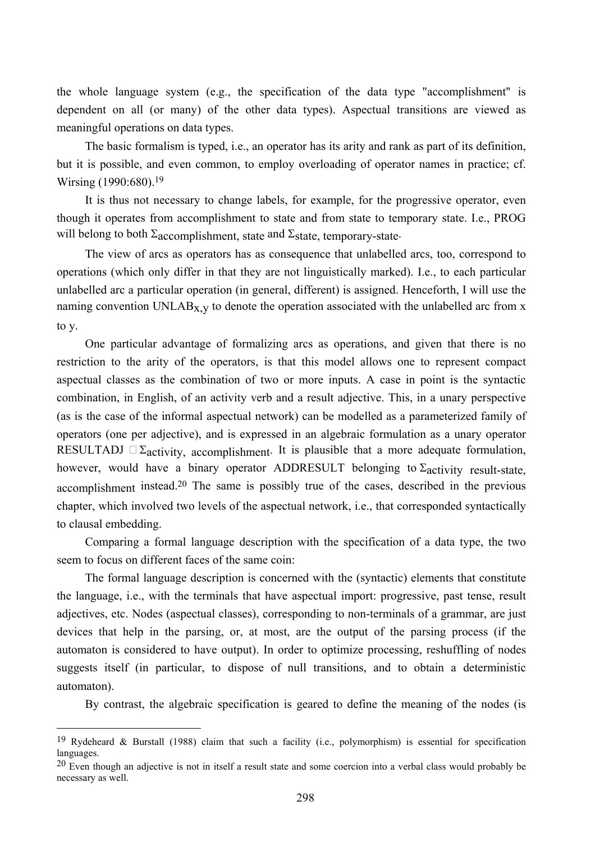the whole language system (e.g., the specification of the data type "accomplishment" is dependent on all (or many) of the other data types). Aspectual transitions are viewed as meaningful operations on data types.

The basic formalism is typed, i.e., an operator has its arity and rank as part of its definition, but it is possible, and even common, to employ overloading of operator names in practice; cf. Wirsing (1990:680).19

It is thus not necessary to change labels, for example, for the progressive operator, even though it operates from accomplishment to state and from state to temporary state. I.e., PROG will belong to both  $\Sigma$ <sub>accomplishment, state</sub> and  $\Sigma$ state, temporary-state.

The view of arcs as operators has as consequence that unlabelled arcs, too, correspond to operations (which only differ in that they are not linguistically marked). I.e., to each particular unlabelled arc a particular operation (in general, different) is assigned. Henceforth, I will use the naming convention UNLAB<sub>X, y</sub> to denote the operation associated with the unlabelled arc from x to y.

One particular advantage of formalizing arcs as operations, and given that there is no restriction to the arity of the operators, is that this model allows one to represent compact aspectual classes as the combination of two or more inputs. A case in point is the syntactic combination, in English, of an activity verb and a result adjective. This, in a unary perspective (as is the case of the informal aspectual network) can be modelled as a parameterized family of operators (one per adjective), and is expressed in an algebraic formulation as a unary operator RESULTADJ  $\Box$   $\Sigma$ <sub>activity, accomplishment</sub>. It is plausible that a more adequate formulation, however, would have a binary operator ADDRESULT belonging to  $\Sigma$ activity result-state. accomplishment instead.20 The same is possibly true of the cases, described in the previous chapter, which involved two levels of the aspectual network, i.e., that corresponded syntactically to clausal embedding.

Comparing a formal language description with the specification of a data type, the two seem to focus on different faces of the same coin:

The formal language description is concerned with the (syntactic) elements that constitute the language, i.e., with the terminals that have aspectual import: progressive, past tense, result adjectives, etc. Nodes (aspectual classes), corresponding to non-terminals of a grammar, are just devices that help in the parsing, or, at most, are the output of the parsing process (if the automaton is considered to have output). In order to optimize processing, reshuffling of nodes suggests itself (in particular, to dispose of null transitions, and to obtain a deterministic automaton).

By contrast, the algebraic specification is geared to define the meaning of the nodes (is

 $\overline{a}$ 

<sup>19</sup> Rydeheard & Burstall (1988) claim that such a facility (i.e., polymorphism) is essential for specification languages.

 $20$  Even though an adjective is not in itself a result state and some coercion into a verbal class would probably be necessary as well.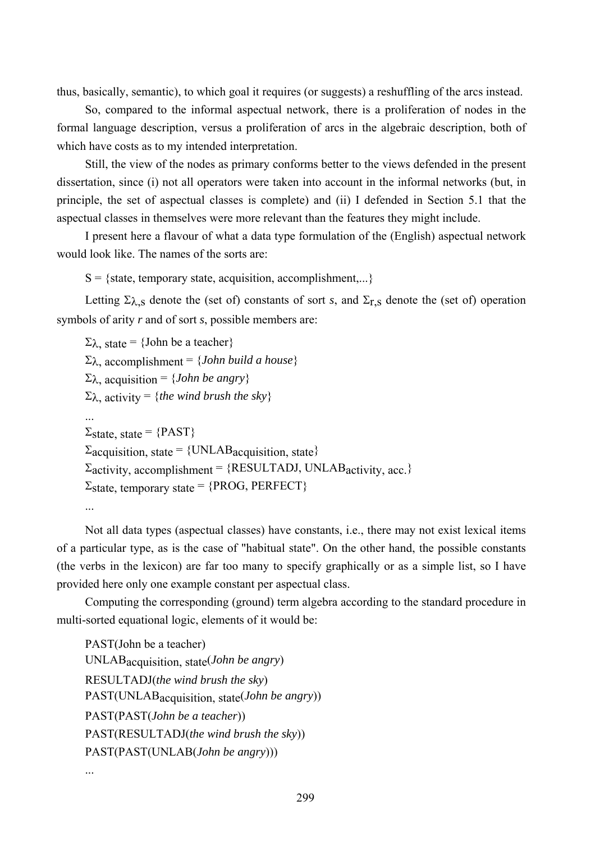thus, basically, semantic), to which goal it requires (or suggests) a reshuffling of the arcs instead.

So, compared to the informal aspectual network, there is a proliferation of nodes in the formal language description, versus a proliferation of arcs in the algebraic description, both of which have costs as to my intended interpretation.

Still, the view of the nodes as primary conforms better to the views defended in the present dissertation, since (i) not all operators were taken into account in the informal networks (but, in principle, the set of aspectual classes is complete) and (ii) I defended in Section 5.1 that the aspectual classes in themselves were more relevant than the features they might include.

I present here a flavour of what a data type formulation of the (English) aspectual network would look like. The names of the sorts are:

 $S = \{state, temporary state, acquisition, accomplishment,...\}$ 

Letting  $\Sigma_{\lambda, S}$  denote the (set of) constants of sort *s*, and  $\Sigma_{r, S}$  denote the (set of) operation symbols of arity *r* and of sort *s*, possible members are:

 $\Sigma_{\lambda}$ , state = {John be a teacher} Σλ, accomplishment = {*John build a house*} Σλ, acquisition = {*John be angry*}  $\Sigma_{\lambda}$ , activity = {*the wind brush the sky*} ...  $\Sigma$ state, state = {PAST}  $\Sigma$ acquisition, state = {UNLAB acquisition, state}  $\Sigma$ activity, accomplishment = {RESULTADJ, UNLABactivity, acc.}  $\Sigma_{\text{state}}$ , temporary state = {PROG, PERFECT} ...

Not all data types (aspectual classes) have constants, i.e., there may not exist lexical items of a particular type, as is the case of "habitual state". On the other hand, the possible constants (the verbs in the lexicon) are far too many to specify graphically or as a simple list, so I have provided here only one example constant per aspectual class.

Computing the corresponding (ground) term algebra according to the standard procedure in multi-sorted equational logic, elements of it would be:

PAST(John be a teacher) UNLABacquisition, state(*John be angry*) RESULTADJ(*the wind brush the sky*) PAST(UNLABacquisition, state(*John be angry*)) PAST(PAST(*John be a teacher*)) PAST(RESULTADJ(*the wind brush the sky*)) PAST(PAST(UNLAB(*John be angry*)))

...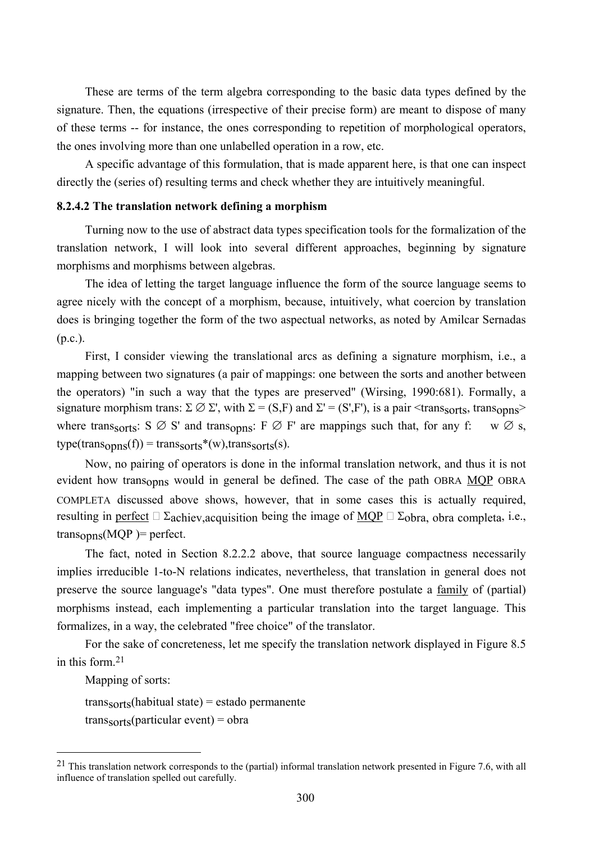These are terms of the term algebra corresponding to the basic data types defined by the signature. Then, the equations (irrespective of their precise form) are meant to dispose of many of these terms -- for instance, the ones corresponding to repetition of morphological operators, the ones involving more than one unlabelled operation in a row, etc.

A specific advantage of this formulation, that is made apparent here, is that one can inspect directly the (series of) resulting terms and check whether they are intuitively meaningful.

### **8.2.4.2 The translation network defining a morphism**

Turning now to the use of abstract data types specification tools for the formalization of the translation network, I will look into several different approaches, beginning by signature morphisms and morphisms between algebras.

The idea of letting the target language influence the form of the source language seems to agree nicely with the concept of a morphism, because, intuitively, what coercion by translation does is bringing together the form of the two aspectual networks, as noted by Amilcar Sernadas (p.c.).

First, I consider viewing the translational arcs as defining a signature morphism, i.e., a mapping between two signatures (a pair of mappings: one between the sorts and another between the operators) "in such a way that the types are preserved" (Wirsing, 1990:681). Formally, a signature morphism trans:  $\Sigma \oslash \Sigma'$ , with  $\Sigma = (S, F)$  and  $\Sigma' = (S', F')$ , is a pair  $\triangle$ transsorts, transopns where transsorts:  $S \oslash S'$  and transopns:  $F \oslash F'$  are mappings such that, for any f: w  $\oslash s$ ,  $type(trains<sub>onns</sub>(f)) = trans<sub>sorts</sub><sup>*</sup>(w), trans<sub>sorts</sub>(s).$ 

Now, no pairing of operators is done in the informal translation network, and thus it is not evident how transopns would in general be defined. The case of the path OBRA MOP OBRA COMPLETA discussed above shows, however, that in some cases this is actually required, resulting in <u>perfect</u>  $\Box$   $\Sigma$ achiev, acquisition being the image of <u>MQP</u>  $\Box$   $\Sigma$ <sub>obra, obra completa, i.e.,</sub>  $trans<sub>onns</sub>(MQP) = perfect.$ 

The fact, noted in Section 8.2.2.2 above, that source language compactness necessarily implies irreducible 1-to-N relations indicates, nevertheless, that translation in general does not preserve the source language's "data types". One must therefore postulate a family of (partial) morphisms instead, each implementing a particular translation into the target language. This formalizes, in a way, the celebrated "free choice" of the translator.

For the sake of concreteness, let me specify the translation network displayed in Figure 8.5 in this form.21

Mapping of sorts:

 $\overline{a}$ 

transsorts(habitual state) = estado permanente

transsorts(particular event) = obra

 $21$  This translation network corresponds to the (partial) informal translation network presented in Figure 7.6, with all influence of translation spelled out carefully.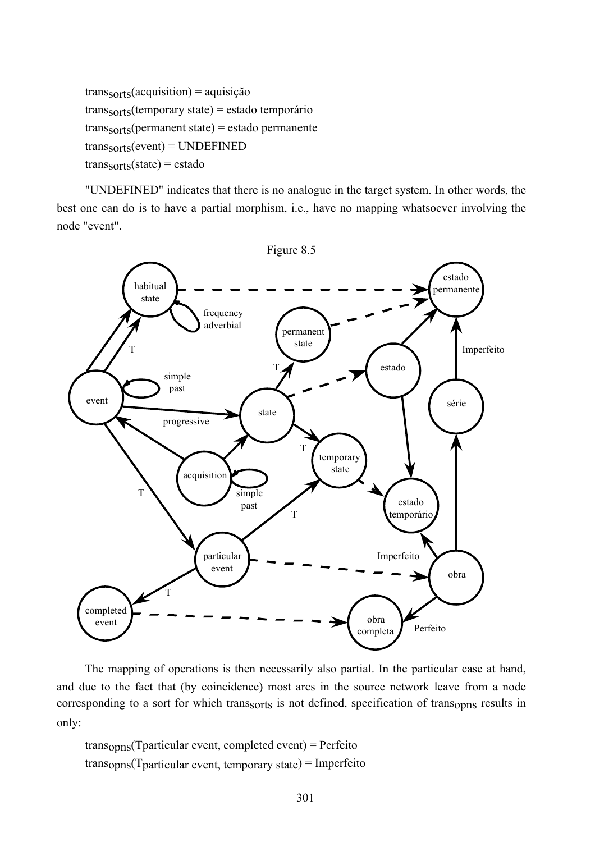$trans<sub>sorts</sub>(acquisition) = aquisição$ transsorts(temporary state) = estado temporário transsorts(permanent state) = estado permanente  $trans<sub>sorts</sub>(event) = UNDERINED$  $trans<sub>sorts</sub>(state) = estado$ 

"UNDEFINED" indicates that there is no analogue in the target system. In other words, the best one can do is to have a partial morphism, i.e., have no mapping whatsoever involving the node "event".



The mapping of operations is then necessarily also partial. In the particular case at hand, and due to the fact that (by coincidence) most arcs in the source network leave from a node corresponding to a sort for which transsorts is not defined, specification of transopns results in only:

transopns(Tparticular event, completed event) = Perfeito transopns(Tparticular event, temporary state) = Imperfeito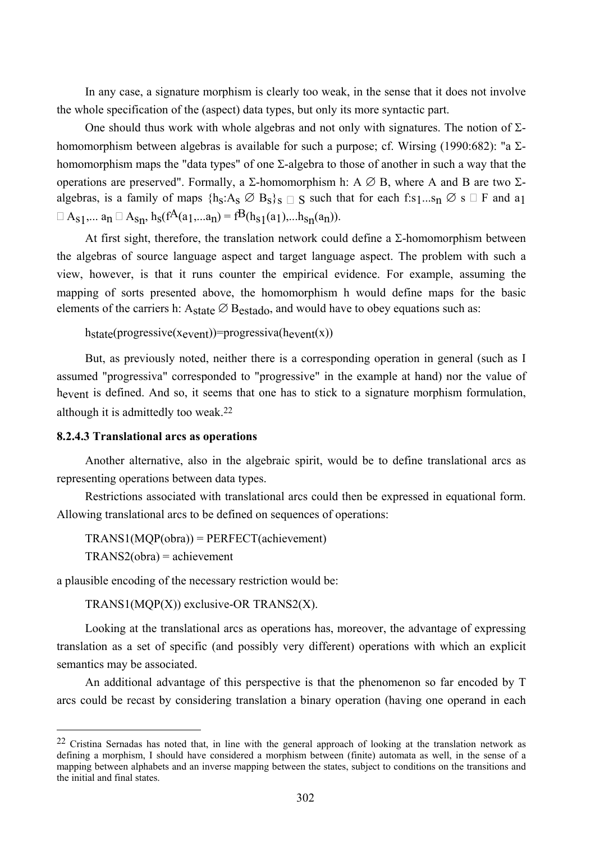In any case, a signature morphism is clearly too weak, in the sense that it does not involve the whole specification of the (aspect) data types, but only its more syntactic part.

One should thus work with whole algebras and not only with signatures. The notion of Σhomomorphism between algebras is available for such a purpose; cf. Wirsing (1990:682): "a  $\Sigma$ homomorphism maps the "data types" of one Σ-algebra to those of another in such a way that the operations are preserved". Formally, a  $\Sigma$ -homomorphism h: A  $\varnothing$  B, where A and B are two  $\Sigma$ algebras, is a family of maps  $\{h_S: A_S \oslash B_S\}_S \cap S$  such that for each f:s1...s<sub>n</sub>  $\oslash$  s  $\Box$  F and a1  $A_{s1}$ ,... an  $A_{s1}$ , h<sub>s</sub>(f<sup>A</sup>(a<sub>1</sub>,...a<sub>n</sub>) = f<sup>B</sup>(h<sub>s1</sub>(a<sub>1</sub>),...h<sub>sn</sub>(a<sub>n</sub>)).

At first sight, therefore, the translation network could define a  $\Sigma$ -homomorphism between the algebras of source language aspect and target language aspect. The problem with such a view, however, is that it runs counter the empirical evidence. For example, assuming the mapping of sorts presented above, the homomorphism h would define maps for the basic elements of the carriers h:  $A_{state} \oslash B_{estado}$ , and would have to obey equations such as:

 $h<sub>state</sub>(progressive(x<sub>event</sub>)) = progressiva(h<sub>event</sub>(x))$ 

But, as previously noted, neither there is a corresponding operation in general (such as I assumed "progressiva" corresponded to "progressive" in the example at hand) nor the value of hevent is defined. And so, it seems that one has to stick to a signature morphism formulation, although it is admittedly too weak.22

### **8.2.4.3 Translational arcs as operations**

 $\overline{a}$ 

Another alternative, also in the algebraic spirit, would be to define translational arcs as representing operations between data types.

Restrictions associated with translational arcs could then be expressed in equational form. Allowing translational arcs to be defined on sequences of operations:

 $TRANS1(MQP(obra)) = PERFECT(achievement)$ TRANS2(obra) = achievement

a plausible encoding of the necessary restriction would be:

TRANS1(MQP(X)) exclusive-OR TRANS2(X).

Looking at the translational arcs as operations has, moreover, the advantage of expressing translation as a set of specific (and possibly very different) operations with which an explicit semantics may be associated.

An additional advantage of this perspective is that the phenomenon so far encoded by T arcs could be recast by considering translation a binary operation (having one operand in each

<sup>22</sup> Cristina Sernadas has noted that, in line with the general approach of looking at the translation network as defining a morphism, I should have considered a morphism between (finite) automata as well, in the sense of a mapping between alphabets and an inverse mapping between the states, subject to conditions on the transitions and the initial and final states.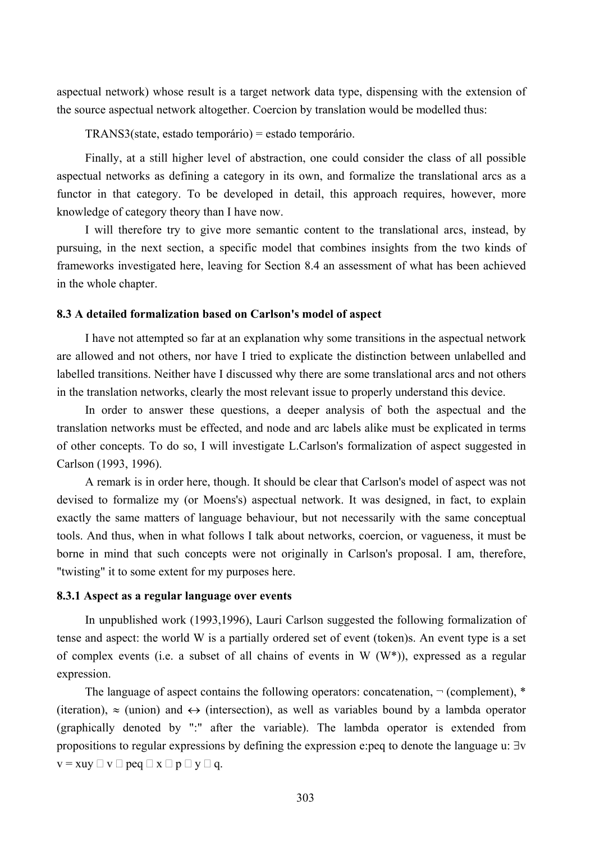aspectual network) whose result is a target network data type, dispensing with the extension of the source aspectual network altogether. Coercion by translation would be modelled thus:

TRANS3(state, estado temporário) = estado temporário.

Finally, at a still higher level of abstraction, one could consider the class of all possible aspectual networks as defining a category in its own, and formalize the translational arcs as a functor in that category. To be developed in detail, this approach requires, however, more knowledge of category theory than I have now.

I will therefore try to give more semantic content to the translational arcs, instead, by pursuing, in the next section, a specific model that combines insights from the two kinds of frameworks investigated here, leaving for Section 8.4 an assessment of what has been achieved in the whole chapter.

### **8.3 A detailed formalization based on Carlson's model of aspect**

I have not attempted so far at an explanation why some transitions in the aspectual network are allowed and not others, nor have I tried to explicate the distinction between unlabelled and labelled transitions. Neither have I discussed why there are some translational arcs and not others in the translation networks, clearly the most relevant issue to properly understand this device.

In order to answer these questions, a deeper analysis of both the aspectual and the translation networks must be effected, and node and arc labels alike must be explicated in terms of other concepts. To do so, I will investigate L.Carlson's formalization of aspect suggested in Carlson (1993, 1996).

A remark is in order here, though. It should be clear that Carlson's model of aspect was not devised to formalize my (or Moens's) aspectual network. It was designed, in fact, to explain exactly the same matters of language behaviour, but not necessarily with the same conceptual tools. And thus, when in what follows I talk about networks, coercion, or vagueness, it must be borne in mind that such concepts were not originally in Carlson's proposal. I am, therefore, "twisting" it to some extent for my purposes here.

### **8.3.1 Aspect as a regular language over events**

In unpublished work (1993,1996), Lauri Carlson suggested the following formalization of tense and aspect: the world W is a partially ordered set of event (token)s. An event type is a set of complex events (i.e. a subset of all chains of events in W  $(W^*)$ ), expressed as a regular expression.

The language of aspect contains the following operators: concatenation,  $\neg$  (complement),  $*$ (iteration),  $\approx$  (union) and  $\leftrightarrow$  (intersection), as well as variables bound by a lambda operator (graphically denoted by ":" after the variable). The lambda operator is extended from propositions to regular expressions by defining the expression e:peq to denote the language u: ∃v  $v = xuy \Box v \Box peg \Box x \Box p \Box y \Box q.$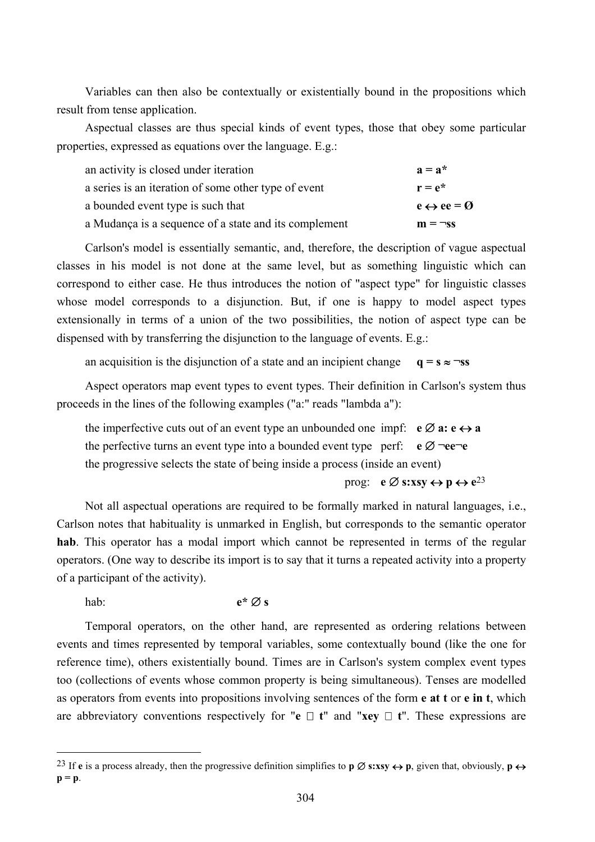Variables can then also be contextually or existentially bound in the propositions which result from tense application.

Aspectual classes are thus special kinds of event types, those that obey some particular properties, expressed as equations over the language. E.g.:

| an activity is closed under iteration                 | $a = a^*$                          |
|-------------------------------------------------------|------------------------------------|
| a series is an iteration of some other type of event  | $r = e^*$                          |
| a bounded event type is such that                     | $e \leftrightarrow ee = \emptyset$ |
| a Mudança is a sequence of a state and its complement | $m = \neg ss$                      |

Carlson's model is essentially semantic, and, therefore, the description of vague aspectual classes in his model is not done at the same level, but as something linguistic which can correspond to either case. He thus introduces the notion of "aspect type" for linguistic classes whose model corresponds to a disjunction. But, if one is happy to model aspect types extensionally in terms of a union of the two possibilities, the notion of aspect type can be dispensed with by transferring the disjunction to the language of events. E.g.:

an acquisition is the disjunction of a state and an incipient change  $q = s \approx \neg ss$ 

Aspect operators map event types to event types. Their definition in Carlson's system thus proceeds in the lines of the following examples ("a:" reads "lambda a"):

| the imperfective cuts out of an event type an unbounded one impf: $\mathbf{e} \oslash \mathbf{a} : \mathbf{e} \leftrightarrow \mathbf{a}$ |  |
|-------------------------------------------------------------------------------------------------------------------------------------------|--|
| the perfective turns an event type into a bounded event type perf: $e \varnothing \neg ee \neg e$                                         |  |
| the progressive selects the state of being inside a process (inside an event)                                                             |  |

# prog: **e**  $\emptyset$  **s:xsy**  $\leftrightarrow$  **p**  $\leftrightarrow$   $e^{23}$

Not all aspectual operations are required to be formally marked in natural languages, i.e., Carlson notes that habituality is unmarked in English, but corresponds to the semantic operator **hab**. This operator has a modal import which cannot be represented in terms of the regular operators. (One way to describe its import is to say that it turns a repeated activity into a property of a participant of the activity).

hab: **e\*** ∅ **s**

 $\overline{a}$ 

Temporal operators, on the other hand, are represented as ordering relations between events and times represented by temporal variables, some contextually bound (like the one for reference time), others existentially bound. Times are in Carlson's system complex event types too (collections of events whose common property is being simultaneous). Tenses are modelled as operators from events into propositions involving sentences of the form **e at t** or **e in t**, which are abbreviatory conventions respectively for " $e \Box t$ " and "**xey**  $\Box t$ ". These expressions are

<sup>&</sup>lt;sup>23</sup> If **e** is a process already, then the progressive definition simplifies to **p**  $\emptyset$  **s:xsy**  $\leftrightarrow$  **p**, given that, obviously, **p** $\leftrightarrow$ **p = p**.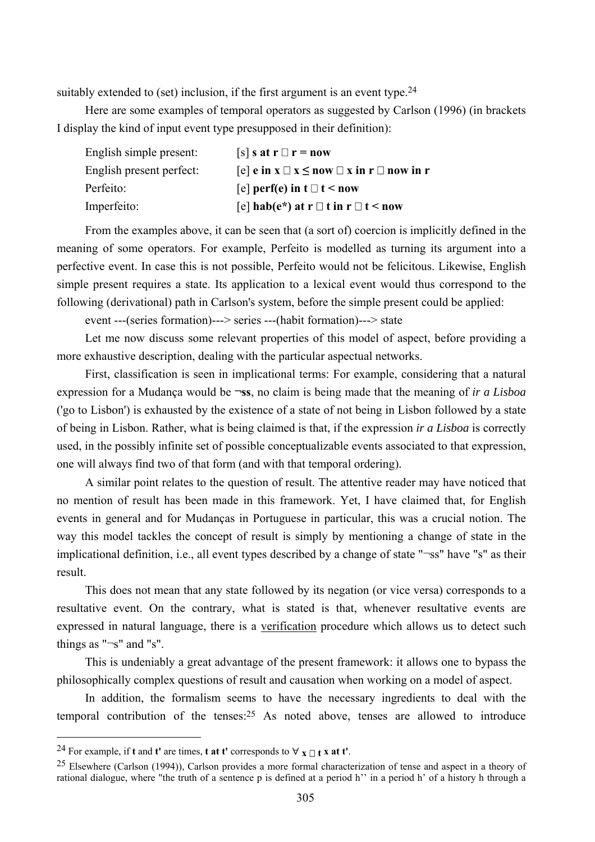suitably extended to (set) inclusion, if the first argument is an event type.<sup>24</sup>

Here are some examples of temporal operators as suggested by Carlson (1996) (in brackets I display the kind of input event type presupposed in their definition):

| English simple present:  | $[s]$ s at r $\Box$ r = now                                         |
|--------------------------|---------------------------------------------------------------------|
| English present perfect: | $[e]$ e in $x \square x \leq now \square x$ in $r \square$ now in r |
| Perfeito:                | [e] perf(e) in $t \Box t$ < now                                     |
| Imperfeito:              | [e] hab(e*) at r $\Box$ t in r $\Box$ t < now                       |

From the examples above, it can be seen that (a sort of) coercion is implicitly defined in the meaning of some operators. For example, Perfeito is modelled as turning its argument into a perfective event. In case this is not possible, Perfeito would not be felicitous. Likewise, English simple present requires a state. Its application to a lexical event would thus correspond to the following (derivational) path in Carlson's system, before the simple present could be applied:

event ---(series formation)---> series ---(habit formation)---> state

Let me now discuss some relevant properties of this model of aspect, before providing a more exhaustive description, dealing with the particular aspectual networks.

First, classification is seen in implicational terms: For example, considering that a natural expression for a Mudança would be **¬ss**, no claim is being made that the meaning of *ir a Lisboa* ('go to Lisbon') is exhausted by the existence of a state of not being in Lisbon followed by a state of being in Lisbon. Rather, what is being claimed is that, if the expression *ir a Lisboa* is correctly used, in the possibly infinite set of possible conceptualizable events associated to that expression, one will always find two of that form (and with that temporal ordering).

A similar point relates to the question of result. The attentive reader may have noticed that no mention of result has been made in this framework. Yet, I have claimed that, for English events in general and for Mudanças in Portuguese in particular, this was a crucial notion. The way this model tackles the concept of result is simply by mentioning a change of state in the implicational definition, i.e., all event types described by a change of state "¬ss" have "s" as their result.

This does not mean that any state followed by its negation (or vice versa) corresponds to a resultative event. On the contrary, what is stated is that, whenever resultative events are expressed in natural language, there is a verification procedure which allows us to detect such things as "¬s" and "s".

This is undeniably a great advantage of the present framework: it allows one to bypass the philosophically complex questions of result and causation when working on a model of aspect.

In addition, the formalism seems to have the necessary ingredients to deal with the temporal contribution of the tenses:25 As noted above, tenses are allowed to introduce

 $\overline{a}$ 

<sup>&</sup>lt;sup>24</sup> For example, if **t** and **t'** are times, **t** at **t'** corresponds to  $\forall$  **x**  $\sqcap$  **t x** at **t'**.

<sup>25</sup> Elsewhere (Carlson (1994)), Carlson provides a more formal characterization of tense and aspect in a theory of rational dialogue, where "the truth of a sentence p is defined at a period h'' in a period h' of a history h through a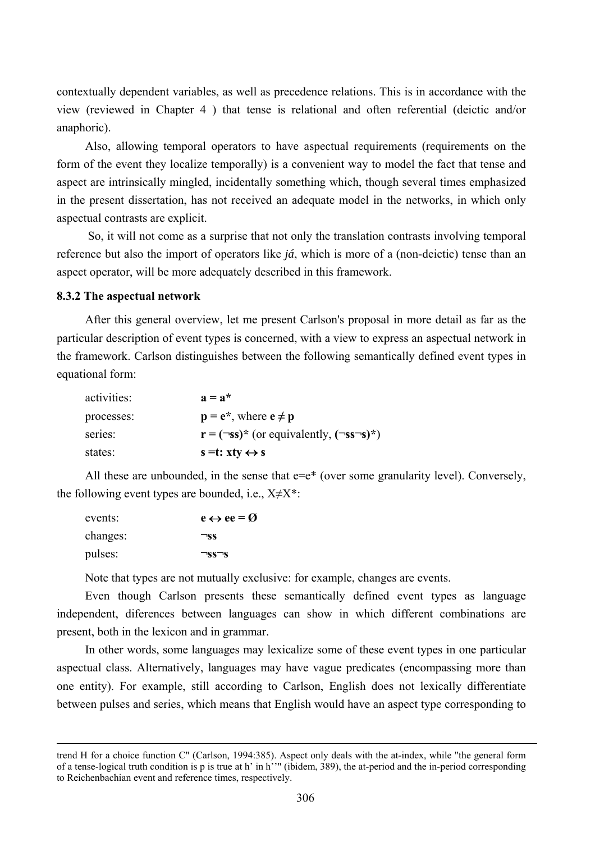contextually dependent variables, as well as precedence relations. This is in accordance with the view (reviewed in Chapter 4 ) that tense is relational and often referential (deictic and/or anaphoric).

Also, allowing temporal operators to have aspectual requirements (requirements on the form of the event they localize temporally) is a convenient way to model the fact that tense and aspect are intrinsically mingled, incidentally something which, though several times emphasized in the present dissertation, has not received an adequate model in the networks, in which only aspectual contrasts are explicit.

 So, it will not come as a surprise that not only the translation contrasts involving temporal reference but also the import of operators like *já*, which is more of a (non-deictic) tense than an aspect operator, will be more adequately described in this framework.

### **8.3.2 The aspectual network**

After this general overview, let me present Carlson's proposal in more detail as far as the particular description of event types is concerned, with a view to express an aspectual network in the framework. Carlson distinguishes between the following semantically defined event types in equational form:

| activities: | $a = a^*$                                                                                                       |
|-------------|-----------------------------------------------------------------------------------------------------------------|
| processes:  | $\mathbf{p} = \mathbf{e}^*$ , where $\mathbf{e} \neq \mathbf{p}$                                                |
| series:     | $\mathbf{r} = (\neg \mathbf{s}\mathbf{s})^*$ (or equivalently, $(\neg \mathbf{s}\mathbf{s}\neg \mathbf{s})^*$ ) |
| states:     | $s = t: xty \leftrightarrow s$                                                                                  |

All these are unbounded, in the sense that  $e=e^*$  (over some granularity level). Conversely, the following event types are bounded, i.e.,  $X \neq X^*$ :

| events:  | $e \leftrightarrow ee = \emptyset$ |
|----------|------------------------------------|
| changes: | ™ss                                |
| pulses:  | $\neg ss\neg s$                    |

Note that types are not mutually exclusive: for example, changes are events.

Even though Carlson presents these semantically defined event types as language independent, diferences between languages can show in which different combinations are present, both in the lexicon and in grammar.

In other words, some languages may lexicalize some of these event types in one particular aspectual class. Alternatively, languages may have vague predicates (encompassing more than one entity). For example, still according to Carlson, English does not lexically differentiate between pulses and series, which means that English would have an aspect type corresponding to

trend H for a choice function C" (Carlson, 1994:385). Aspect only deals with the at-index, while "the general form of a tense-logical truth condition is p is true at h' in h''" (ibidem, 389), the at-period and the in-period corresponding to Reichenbachian event and reference times, respectively.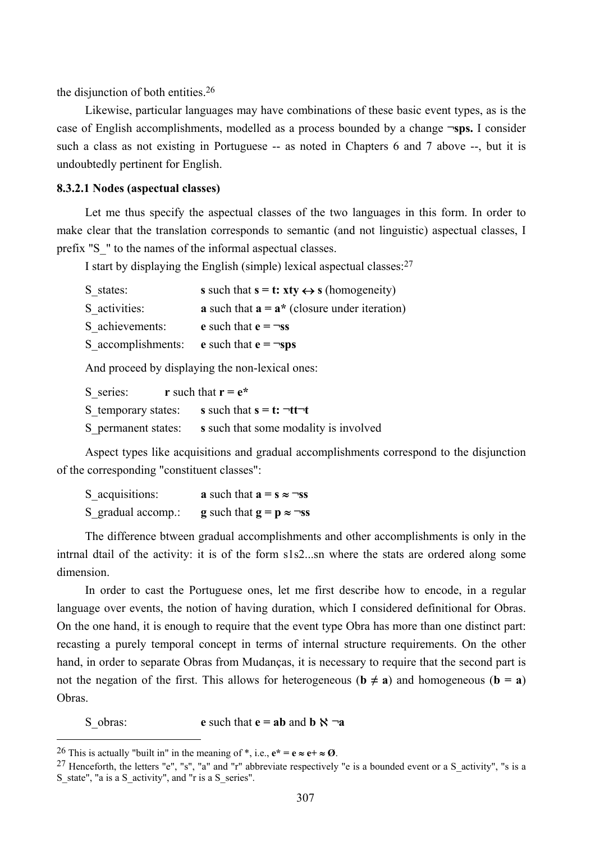the disjunction of both entities.26

Likewise, particular languages may have combinations of these basic event types, as is the case of English accomplishments, modelled as a process bounded by a change **¬sps.** I consider such a class as not existing in Portuguese -- as noted in Chapters 6 and 7 above --, but it is undoubtedly pertinent for English.

#### **8.3.2.1 Nodes (aspectual classes)**

Let me thus specify the aspectual classes of the two languages in this form. In order to make clear that the translation corresponds to semantic (and not linguistic) aspectual classes, I prefix "S\_" to the names of the informal aspectual classes.

I start by displaying the English (simple) lexical aspectual classes:27

| S states:          | s such that $s = t$ : $xty \leftrightarrow s$ (homogeneity)              |
|--------------------|--------------------------------------------------------------------------|
| S activities:      | <b>a</b> such that $\mathbf{a} = \mathbf{a}^*$ (closure under iteration) |
| S achievements:    | e such that $e = \neg ss$                                                |
| S accomplishments: | <b>e</b> such that $e = \neg sps$                                        |

And proceed by displaying the non-lexical ones:

S series: **r** such that  $\mathbf{r} = \mathbf{e}^*$ 

S temporary states: **s** such that  $\mathbf{s} = \mathbf{t}: \neg \mathbf{t} \neg \mathbf{t}$ 

S permanent states: **s** such that some modality is involved

Aspect types like acquisitions and gradual accomplishments correspond to the disjunction of the corresponding "constituent classes":

| S_acquisitions:    | <b>a</b> such that $\mathbf{a} = \mathbf{s} \approx \neg \mathbf{s} \mathbf{s}$ |
|--------------------|---------------------------------------------------------------------------------|
| S gradual accomp.: | <b>g</b> such that $\mathbf{g} = \mathbf{p} \approx \neg \mathbf{ss}$           |

The difference btween gradual accomplishments and other accomplishments is only in the intrnal dtail of the activity: it is of the form s1s2...sn where the stats are ordered along some dimension.

In order to cast the Portuguese ones, let me first describe how to encode, in a regular language over events, the notion of having duration, which I considered definitional for Obras. On the one hand, it is enough to require that the event type Obra has more than one distinct part: recasting a purely temporal concept in terms of internal structure requirements. On the other hand, in order to separate Obras from Mudanças, it is necessary to require that the second part is not the negation of the first. This allows for heterogeneous ( $\mathbf{b} \neq \mathbf{a}$ ) and homogeneous ( $\mathbf{b} = \mathbf{a}$ ) Obras.

S obras: **e** such that  $\mathbf{e} = \mathbf{a}\mathbf{b}$  and  $\mathbf{b} \times \neg \mathbf{a}$ 

 $\overline{a}$ 

<sup>&</sup>lt;sup>26</sup> This is actually "built in" in the meaning of  $*$ , i.e.,  $e^* = e \approx e^+ \approx \mathcal{O}$ .

<sup>&</sup>lt;sup>27</sup> Henceforth, the letters "e", "s", "a" and "r" abbreviate respectively "e is a bounded event or a S activity", "s is a S\_state", "a is a S\_activity", and "r is a S\_series".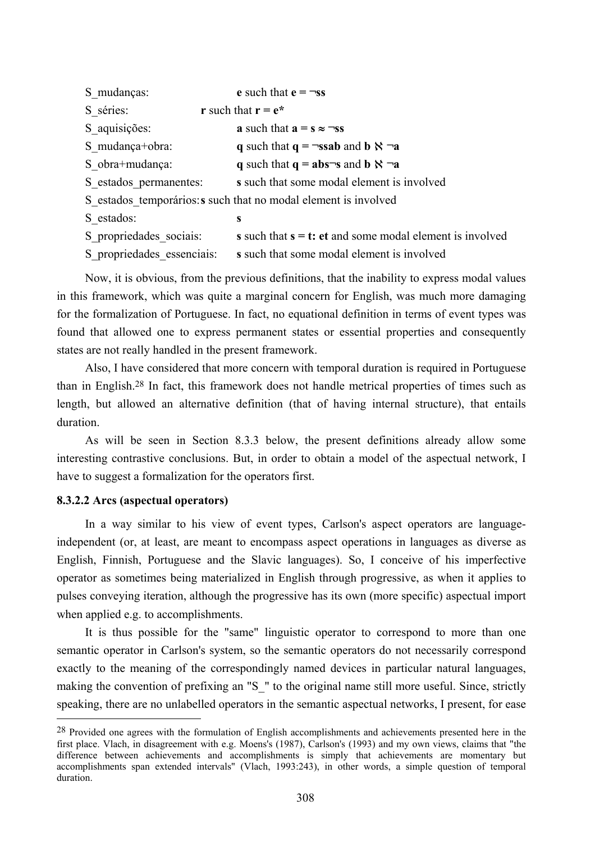| S mudanças:                                                     | e such that $e = \neg ss$                                   |  |
|-----------------------------------------------------------------|-------------------------------------------------------------|--|
| S séries:                                                       | <b>r</b> such that $\mathbf{r} = \mathbf{e}^*$              |  |
| S aquisições:                                                   | a such that $a = s \approx \neg ss$                         |  |
| S mudança+obra:                                                 | q such that $q = \neg \text{ssab}$ and $b \aleph \neg a$    |  |
| S obra+mudança:                                                 | q such that $q = abs\neg s$ and $b \aleph \neg a$           |  |
| S estados permanentes:                                          | s such that some modal element is involved                  |  |
| S estados temporários: s such that no modal element is involved |                                                             |  |
| S estados:                                                      | S                                                           |  |
| S propriedades sociais:                                         | s such that $s = t$ : et and some modal element is involved |  |
| S propriedades essenciais:                                      | s such that some modal element is involved                  |  |

Now, it is obvious, from the previous definitions, that the inability to express modal values in this framework, which was quite a marginal concern for English, was much more damaging for the formalization of Portuguese. In fact, no equational definition in terms of event types was found that allowed one to express permanent states or essential properties and consequently states are not really handled in the present framework.

Also, I have considered that more concern with temporal duration is required in Portuguese than in English.28 In fact, this framework does not handle metrical properties of times such as length, but allowed an alternative definition (that of having internal structure), that entails duration.

As will be seen in Section 8.3.3 below, the present definitions already allow some interesting contrastive conclusions. But, in order to obtain a model of the aspectual network, I have to suggest a formalization for the operators first.

## **8.3.2.2 Arcs (aspectual operators)**

 $\overline{a}$ 

In a way similar to his view of event types, Carlson's aspect operators are languageindependent (or, at least, are meant to encompass aspect operations in languages as diverse as English, Finnish, Portuguese and the Slavic languages). So, I conceive of his imperfective operator as sometimes being materialized in English through progressive, as when it applies to pulses conveying iteration, although the progressive has its own (more specific) aspectual import when applied e.g. to accomplishments.

It is thus possible for the "same" linguistic operator to correspond to more than one semantic operator in Carlson's system, so the semantic operators do not necessarily correspond exactly to the meaning of the correspondingly named devices in particular natural languages, making the convention of prefixing an "S " to the original name still more useful. Since, strictly speaking, there are no unlabelled operators in the semantic aspectual networks, I present, for ease

<sup>28</sup> Provided one agrees with the formulation of English accomplishments and achievements presented here in the first place. Vlach, in disagreement with e.g. Moens's (1987), Carlson's (1993) and my own views, claims that "the difference between achievements and accomplishments is simply that achievements are momentary but accomplishments span extended intervals" (Vlach, 1993:243), in other words, a simple question of temporal duration.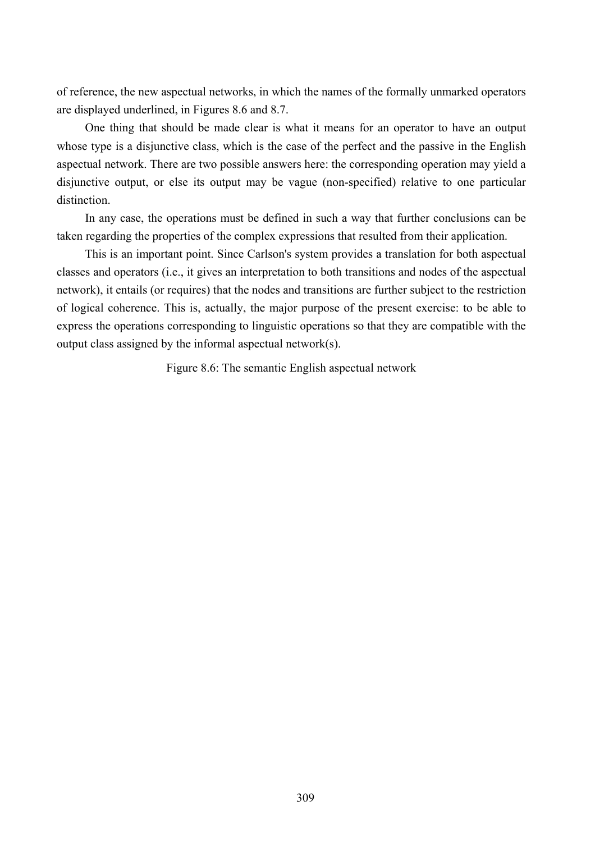of reference, the new aspectual networks, in which the names of the formally unmarked operators are displayed underlined, in Figures 8.6 and 8.7.

One thing that should be made clear is what it means for an operator to have an output whose type is a disjunctive class, which is the case of the perfect and the passive in the English aspectual network. There are two possible answers here: the corresponding operation may yield a disjunctive output, or else its output may be vague (non-specified) relative to one particular distinction.

In any case, the operations must be defined in such a way that further conclusions can be taken regarding the properties of the complex expressions that resulted from their application.

This is an important point. Since Carlson's system provides a translation for both aspectual classes and operators (i.e., it gives an interpretation to both transitions and nodes of the aspectual network), it entails (or requires) that the nodes and transitions are further subject to the restriction of logical coherence. This is, actually, the major purpose of the present exercise: to be able to express the operations corresponding to linguistic operations so that they are compatible with the output class assigned by the informal aspectual network(s).

Figure 8.6: The semantic English aspectual network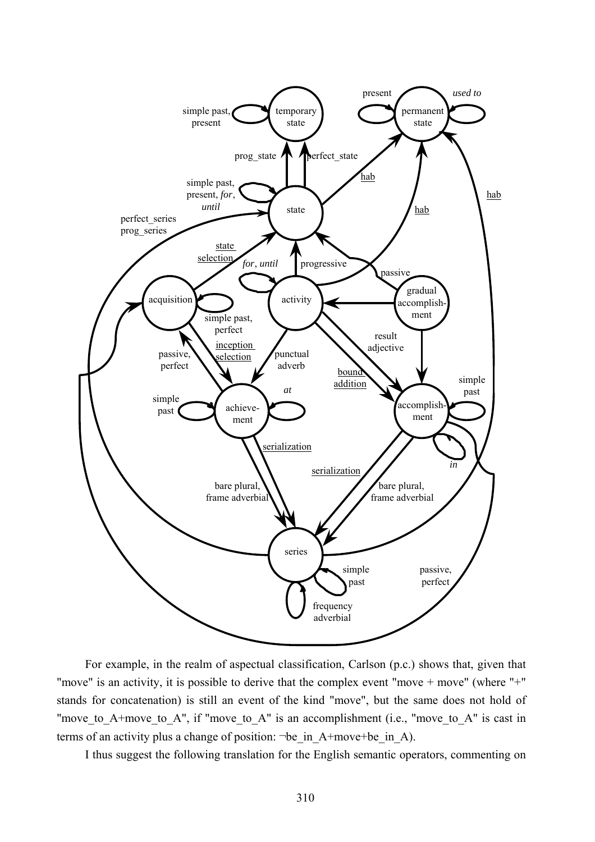

For example, in the realm of aspectual classification, Carlson (p.c.) shows that, given that "move" is an activity, it is possible to derive that the complex event "move + move" (where "+" stands for concatenation) is still an event of the kind "move", but the same does not hold of "move to A+move to A", if "move to A" is an accomplishment (i.e., "move to A" is cast in terms of an activity plus a change of position: ¬be in A+move+be in A).

I thus suggest the following translation for the English semantic operators, commenting on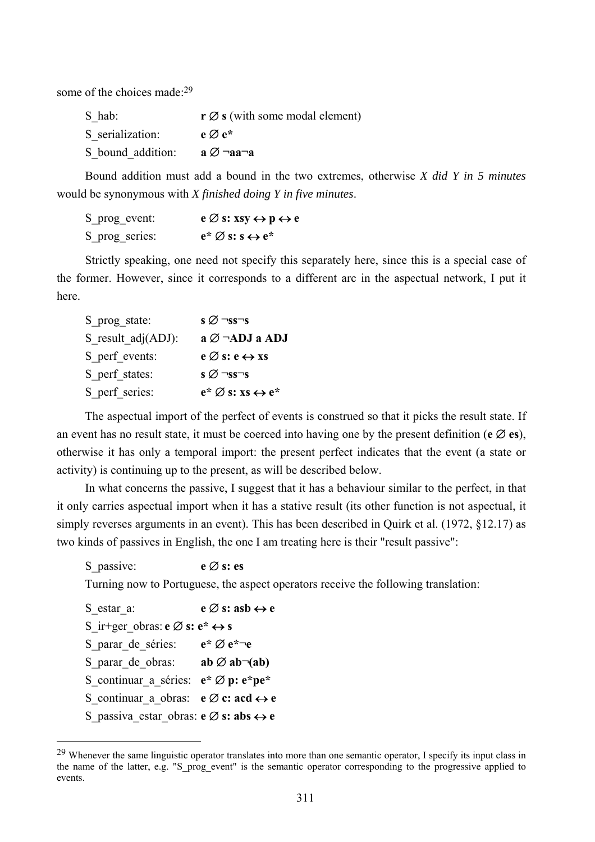some of the choices made:<sup>29</sup>

| S hab:            | $\mathbf{r} \oslash \mathbf{s}$ (with some modal element) |
|-------------------|-----------------------------------------------------------|
| S serialization:  | $e \varnothing e^*$                                       |
| S bound addition: | а ∅ ¬аа¬а                                                 |

Bound addition must add a bound in the two extremes, otherwise *X did Y in 5 minutes* would be synonymous with *X finished doing Y in five minutes*.

| S_prog_event:  | $e \oslash s: xsy \leftrightarrow p \leftrightarrow e$ |
|----------------|--------------------------------------------------------|
| S_prog_series: | $e^* \varnothing$ s: s $\leftrightarrow e^*$           |

Strictly speaking, one need not specify this separately here, since this is a special case of the former. However, since it corresponds to a different arc in the aspectual network, I put it here.

| S prog state:         | $\overline{s} \emptyset \overline{\neg s} \overline{s} \overline{\neg s}$ |
|-----------------------|---------------------------------------------------------------------------|
| S result $adj(ADJ)$ : | $a \oslash \neg \text{ADJ}$ a ADJ                                         |
| S perf events:        | $e \oslash s$ : $e \leftrightarrow xs$                                    |
| S perf states:        | $\overline{s} \emptyset \overline{\neg s} \overline{s} \overline{\neg s}$ |
| S perf series:        | $e^* \varnothing$ s: xs $\leftrightarrow e^*$                             |

The aspectual import of the perfect of events is construed so that it picks the result state. If an event has no result state, it must be coerced into having one by the present definition ( $e \oslash e$ **s**), otherwise it has only a temporal import: the present perfect indicates that the event (a state or activity) is continuing up to the present, as will be described below.

In what concerns the passive. I suggest that it has a behaviour similar to the perfect, in that it only carries aspectual import when it has a stative result (its other function is not aspectual, it simply reverses arguments in an event). This has been described in Quirk et al. (1972, §12.17) as two kinds of passives in English, the one I am treating here is their "result passive":

S\_passive: **e** ∅ **s: es**

Turning now to Portuguese, the aspect operators receive the following translation:

S\_estar\_a: **e** ∅ **s: asb** ↔ **e** S ir+ger obras:  $e \oslash s$ :  $e^* \leftrightarrow s$ S\_parar\_de\_séries: **e\*** ∅ **e\*¬e** S parar de obras: **ab** ∅ **ab**¬(**ab**) S\_continuar\_a\_séries: **e\*** ∅ **p: e\*pe\***  S\_continuar\_a\_obras: **e** ∅ **c: acd** ↔ **e**  S\_passiva\_estar\_obras: **e** ∅ **s: abs** ↔ **e** 

 $\overline{a}$ 

 $^{29}$  Whenever the same linguistic operator translates into more than one semantic operator, I specify its input class in the name of the latter, e.g. "S\_prog\_event" is the semantic operator corresponding to the progressive applied to events.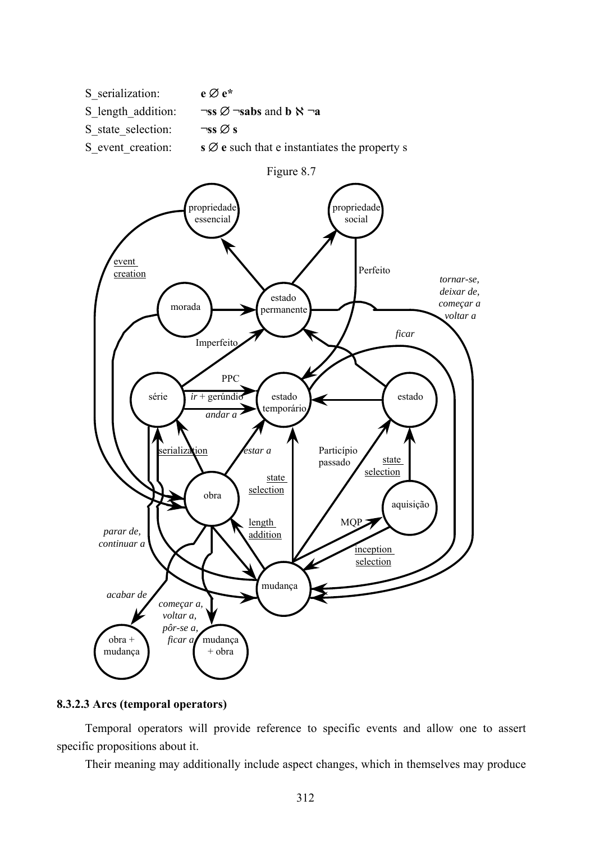



# **8.3.2.3 Arcs (temporal operators)**

Temporal operators will provide reference to specific events and allow one to assert specific propositions about it.

Their meaning may additionally include aspect changes, which in themselves may produce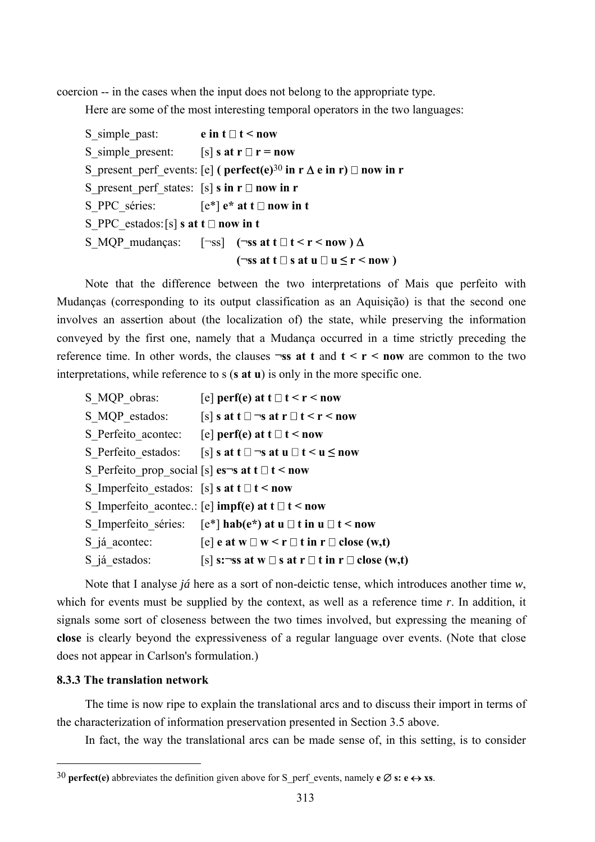coercion -- in the cases when the input does not belong to the appropriate type.

Here are some of the most interesting temporal operators in the two languages:

S simple past: **e in t**  $\Box$  **t < now** S simple present:  $[s]$  s at  $r \Box r = now$ S present perf events:  $[e]$  ( perfect(e)<sup>30</sup> in r  $\Delta$  e in r)  $\Box$  now in r S present perf states:  $[s]$  **s** in  $r \Box$  now in r S PPC séries:  $[e^*] e^*$  at  $t \Box$  now in t S PPC estados:  $[s]$  **s at t**  $\Box$  **now in t** S\_MQP\_mudanças:  $[\neg ss]$  ( $\neg ss$  at  $t \Box t < r < now$ )  $\Delta$  $(\neg ss \text{ at } t \Box s \text{ at } u \Box u \leq r < now)$ 

Note that the difference between the two interpretations of Mais que perfeito with Mudanças (corresponding to its output classification as an Aquisição) is that the second one involves an assertion about (the localization of) the state, while preserving the information conveyed by the first one, namely that a Mudança occurred in a time strictly preceding the reference time. In other words, the clauses  $\neg ss$  at t and  $t \le r \le now$  are common to the two interpretations, while reference to s (**s at u**) is only in the more specific one.

| S MQP obras:                                                    | [e] perf(e) at $t \Box t < r <$ now                                        |
|-----------------------------------------------------------------|----------------------------------------------------------------------------|
| S MQP estados:                                                  | $[s]$ s at t $\square$ $\neg$ s at r $\square$ t < r < now                 |
|                                                                 | S Perfeito acontec: [e] perf(e) at $t \Box t <$ now                        |
|                                                                 | S Perfeito estados: [s] s at $t \Box \neg s$ at $u \Box t \le u \le now$   |
| S Perfeito prop social [s] es <sup>-s</sup> at $t \Box t$ < now |                                                                            |
| S Imperfeito estados: [s] s at $t \Box t <$ now                 |                                                                            |
|                                                                 | S Imperfeito acontec.: [e] impf(e) at $t \Box t <$ now                     |
|                                                                 | S Imperfeito séries: $[e^*]$ hab $(e^*)$ at $u \Box t$ in $u \Box t <$ now |
| S já acontec:                                                   | [e] e at w $\Box$ w < r $\Box$ t in r $\Box$ close (w,t)                   |
| S já estados:                                                   | [s] s: $\neg$ ss at w $\Box$ s at r $\Box$ t in r $\Box$ close (w,t)       |

Note that I analyse *já* here as a sort of non-deictic tense, which introduces another time *w*, which for events must be supplied by the context, as well as a reference time *r*. In addition, it signals some sort of closeness between the two times involved, but expressing the meaning of **close** is clearly beyond the expressiveness of a regular language over events. (Note that close does not appear in Carlson's formulation.)

### **8.3.3 The translation network**

 $\overline{a}$ 

The time is now ripe to explain the translational arcs and to discuss their import in terms of the characterization of information preservation presented in Section 3.5 above.

In fact, the way the translational arcs can be made sense of, in this setting, is to consider

<sup>30</sup> **perfect(e)** abbreviates the definition given above for S\_perf\_events, namely **e** ∅ **s: e** ↔ **xs**.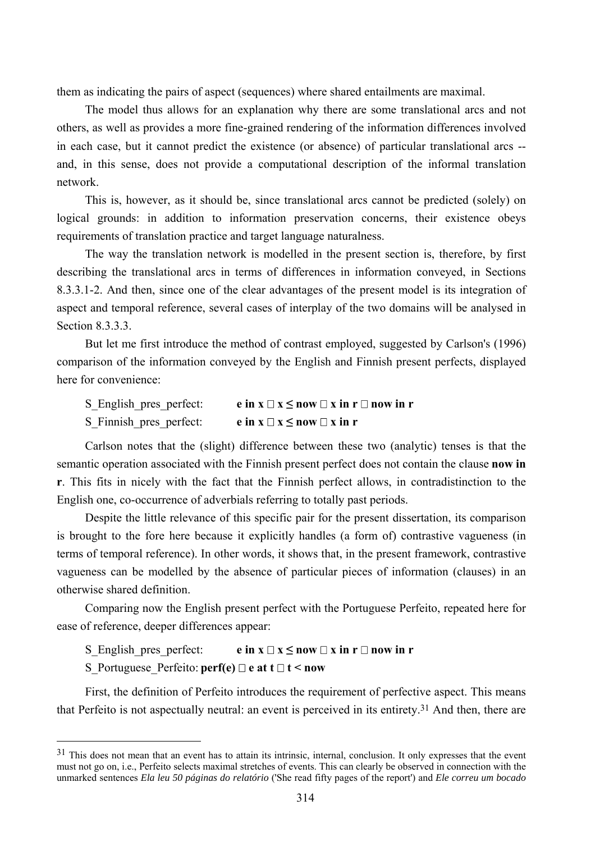them as indicating the pairs of aspect (sequences) where shared entailments are maximal.

The model thus allows for an explanation why there are some translational arcs and not others, as well as provides a more fine-grained rendering of the information differences involved in each case, but it cannot predict the existence (or absence) of particular translational arcs - and, in this sense, does not provide a computational description of the informal translation network.

This is, however, as it should be, since translational arcs cannot be predicted (solely) on logical grounds: in addition to information preservation concerns, their existence obeys requirements of translation practice and target language naturalness.

The way the translation network is modelled in the present section is, therefore, by first describing the translational arcs in terms of differences in information conveyed, in Sections 8.3.3.1-2. And then, since one of the clear advantages of the present model is its integration of aspect and temporal reference, several cases of interplay of the two domains will be analysed in Section 8.3.3.3.

But let me first introduce the method of contrast employed, suggested by Carlson's (1996) comparison of the information conveyed by the English and Finnish present perfects, displayed here for convenience:

| S_English_pres_perfect: | e in $x \square x \leq now \square x$ in $r \square$ now in r |
|-------------------------|---------------------------------------------------------------|
| S Finnish pres perfect: | e in $x \square x \leq now \square x$ in r                    |

Carlson notes that the (slight) difference between these two (analytic) tenses is that the semantic operation associated with the Finnish present perfect does not contain the clause **now in r**. This fits in nicely with the fact that the Finnish perfect allows, in contradistinction to the English one, co-occurrence of adverbials referring to totally past periods.

Despite the little relevance of this specific pair for the present dissertation, its comparison is brought to the fore here because it explicitly handles (a form of) contrastive vagueness (in terms of temporal reference). In other words, it shows that, in the present framework, contrastive vagueness can be modelled by the absence of particular pieces of information (clauses) in an otherwise shared definition.

Comparing now the English present perfect with the Portuguese Perfeito, repeated here for ease of reference, deeper differences appear:

S English pres perfect: **e** in  $x \square x \leq \textbf{now } \square x$  in  $r \square \textbf{now in } r$ 

S Portuguese Perfeito:  $\text{perf}(e) \square e$  at  $t \square t < \text{now}$ 

 $\overline{a}$ 

First, the definition of Perfeito introduces the requirement of perfective aspect. This means that Perfeito is not aspectually neutral: an event is perceived in its entirety.31 And then, there are

 $31$  This does not mean that an event has to attain its intrinsic, internal, conclusion. It only expresses that the event must not go on, i.e., Perfeito selects maximal stretches of events. This can clearly be observed in connection with the unmarked sentences *Ela leu 50 páginas do relatório* ('She read fifty pages of the report') and *Ele correu um bocado*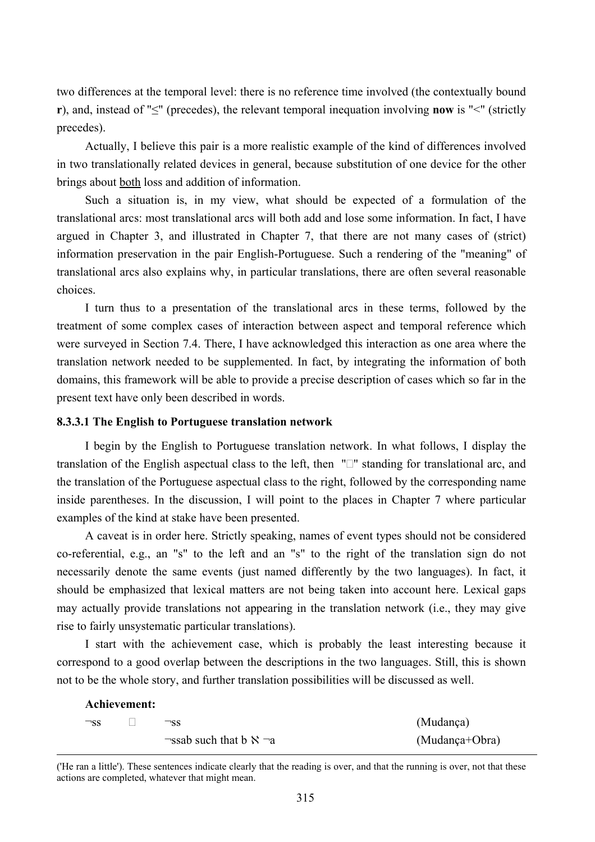two differences at the temporal level: there is no reference time involved (the contextually bound **r**), and, instead of "≤" (precedes), the relevant temporal inequation involving **now** is "<" (strictly precedes).

Actually, I believe this pair is a more realistic example of the kind of differences involved in two translationally related devices in general, because substitution of one device for the other brings about both loss and addition of information.

Such a situation is, in my view, what should be expected of a formulation of the translational arcs: most translational arcs will both add and lose some information. In fact, I have argued in Chapter 3, and illustrated in Chapter 7, that there are not many cases of (strict) information preservation in the pair English-Portuguese. Such a rendering of the "meaning" of translational arcs also explains why, in particular translations, there are often several reasonable choices.

I turn thus to a presentation of the translational arcs in these terms, followed by the treatment of some complex cases of interaction between aspect and temporal reference which were surveyed in Section 7.4. There, I have acknowledged this interaction as one area where the translation network needed to be supplemented. In fact, by integrating the information of both domains, this framework will be able to provide a precise description of cases which so far in the present text have only been described in words.

# **8.3.3.1 The English to Portuguese translation network**

I begin by the English to Portuguese translation network. In what follows, I display the translation of the English aspectual class to the left, then  $" \Box"$  standing for translational arc, and the translation of the Portuguese aspectual class to the right, followed by the corresponding name inside parentheses. In the discussion, I will point to the places in Chapter 7 where particular examples of the kind at stake have been presented.

A caveat is in order here. Strictly speaking, names of event types should not be considered co-referential, e.g., an "s" to the left and an "s" to the right of the translation sign do not necessarily denote the same events (just named differently by the two languages). In fact, it should be emphasized that lexical matters are not being taken into account here. Lexical gaps may actually provide translations not appearing in the translation network (i.e., they may give rise to fairly unsystematic particular translations).

I start with the achievement case, which is probably the least interesting because it correspond to a good overlap between the descriptions in the two languages. Still, this is shown not to be the whole story, and further translation possibilities will be discussed as well.

|           | Achievement: |                                         |                |
|-----------|--------------|-----------------------------------------|----------------|
| $\neg$ ss |              | $\neg$ ss                               | (Mudança)      |
|           |              | $\neg$ ssab such that b $\aleph \neg a$ | (Mudança+Obra) |

 ('He ran a little'). These sentences indicate clearly that the reading is over, and that the running is over, not that these actions are completed, whatever that might mean.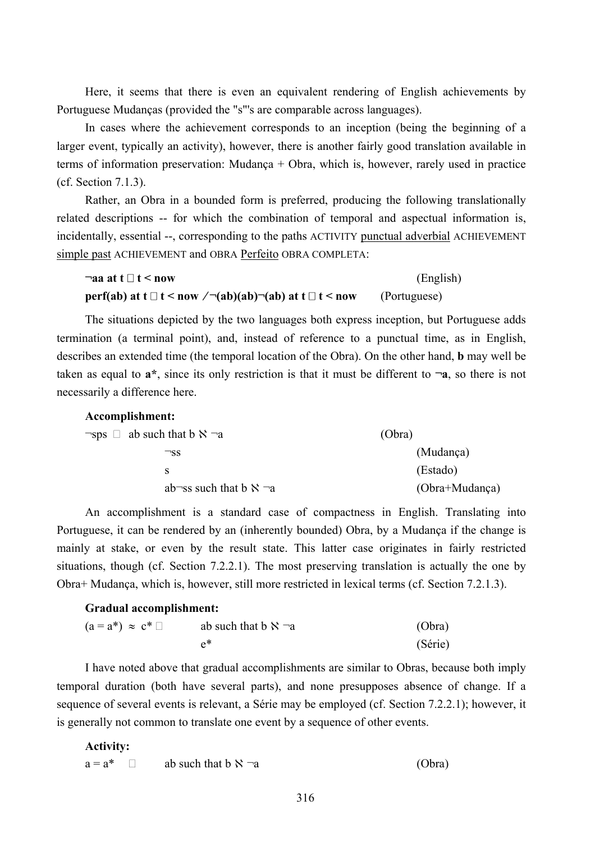Here, it seems that there is even an equivalent rendering of English achievements by Portuguese Mudanças (provided the "s"'s are comparable across languages).

In cases where the achievement corresponds to an inception (being the beginning of a larger event, typically an activity), however, there is another fairly good translation available in terms of information preservation: Mudança + Obra, which is, however, rarely used in practice (cf. Section 7.1.3).

Rather, an Obra in a bounded form is preferred, producing the following translationally related descriptions -- for which the combination of temporal and aspectual information is, incidentally, essential --, corresponding to the paths ACTIVITY punctual adverbial ACHIEVEMENT simple past ACHIEVEMENT and OBRA Perfeito OBRA COMPLETA:

| $\lnot$ aa at t $\Box$ t < now                                   | (English)    |
|------------------------------------------------------------------|--------------|
| perf(ab) at $t \Box t$ < now /¬(ab)(ab)¬(ab) at $t \Box t$ < now | (Portuguese) |

The situations depicted by the two languages both express inception, but Portuguese adds termination (a terminal point), and, instead of reference to a punctual time, as in English, describes an extended time (the temporal location of the Obra). On the other hand, **b** may well be taken as equal to  $a^*$ , since its only restriction is that it must be different to  $\neg a$ , so there is not necessarily a difference here.

**Accomplishment:**  $\neg$ sps  $\Box$  ab such that b  $\aleph$   $\neg$ a (Obra) ¬ss (Mudança) s (Estado) ab¬ss such that b  $\aleph$  ¬a (Obra+Mudanca)

An accomplishment is a standard case of compactness in English. Translating into Portuguese, it can be rendered by an (inherently bounded) Obra, by a Mudança if the change is mainly at stake, or even by the result state. This latter case originates in fairly restricted situations, though (cf. Section 7.2.2.1). The most preserving translation is actually the one by Obra+ Mudança, which is, however, still more restricted in lexical terms (cf. Section 7.2.1.3).

### **Gradual accomplishment:**

| $(a = a^*) \approx c^*$ | ab such that $\mathbf{b} \times \neg \mathbf{a}$ | (Obra)  |
|-------------------------|--------------------------------------------------|---------|
|                         |                                                  | (Série) |

I have noted above that gradual accomplishments are similar to Obras, because both imply temporal duration (both have several parts), and none presupposes absence of change. If a sequence of several events is relevant, a Série may be employed (cf. Section 7.2.2.1); however, it is generally not common to translate one event by a sequence of other events.

**Activity:** 

 $a = a^*$  ab such that  $b \aleph a$  as  $(Obra)$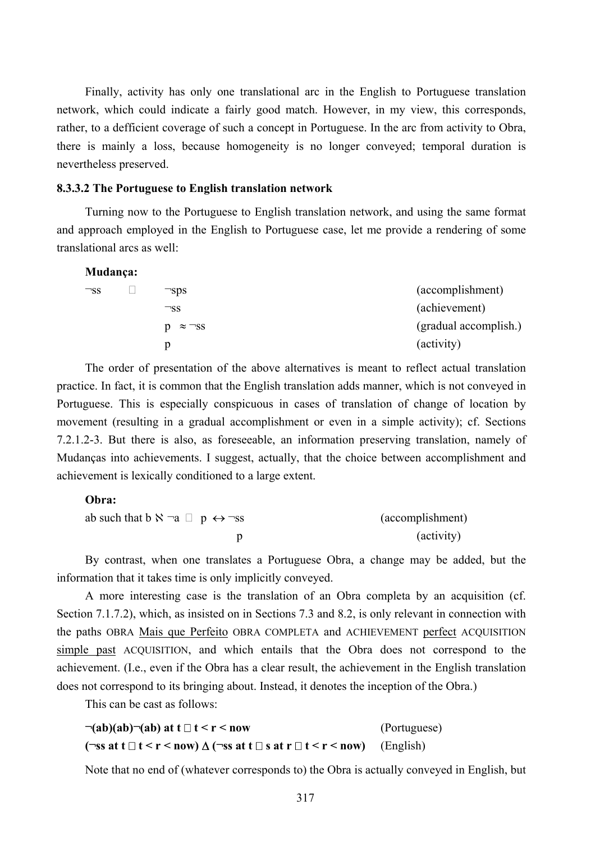Finally, activity has only one translational arc in the English to Portuguese translation network, which could indicate a fairly good match. However, in my view, this corresponds, rather, to a defficient coverage of such a concept in Portuguese. In the arc from activity to Obra, there is mainly a loss, because homogeneity is no longer conveyed; temporal duration is nevertheless preserved.

### **8.3.3.2 The Portuguese to English translation network**

Turning now to the Portuguese to English translation network, and using the same format and approach employed in the English to Portuguese case, let me provide a rendering of some translational arcs as well:

| Mudança:  |                   |                       |
|-----------|-------------------|-----------------------|
| $\neg$ ss | $\neg$ sps        | (accomplishment)      |
|           | $\neg$ ss         | (achievement)         |
|           | $\approx \neg$ SS | (gradual accomplish.) |
|           | p                 | (activity)            |
|           |                   |                       |

The order of presentation of the above alternatives is meant to reflect actual translation practice. In fact, it is common that the English translation adds manner, which is not conveyed in Portuguese. This is especially conspicuous in cases of translation of change of location by movement (resulting in a gradual accomplishment or even in a simple activity); cf. Sections 7.2.1.2-3. But there is also, as foreseeable, an information preserving translation, namely of Mudanças into achievements. I suggest, actually, that the choice between accomplishment and achievement is lexically conditioned to a large extent.

# **Obra:**

| ab such that b $\aleph$ $\neg$ a $\Box$ p $\leftrightarrow \neg$ ss | (accomplishment) |
|---------------------------------------------------------------------|------------------|
|                                                                     | (activity)       |

By contrast, when one translates a Portuguese Obra, a change may be added, but the information that it takes time is only implicitly conveyed.

A more interesting case is the translation of an Obra completa by an acquisition (cf. Section 7.1.7.2), which, as insisted on in Sections 7.3 and 8.2, is only relevant in connection with the paths OBRA Mais que Perfeito OBRA COMPLETA and ACHIEVEMENT perfect ACQUISITION simple past ACQUISITION, and which entails that the Obra does not correspond to the achievement. (I.e., even if the Obra has a clear result, the achievement in the English translation does not correspond to its bringing about. Instead, it denotes the inception of the Obra.)

This can be cast as follows:

| $\neg(ab)(ab)\neg(ab)$ at t $\Box$ t < r < now                                                                                                        | (Portuguese) |
|-------------------------------------------------------------------------------------------------------------------------------------------------------|--------------|
| $(\neg \text{ss} \text{ at } t \Box t < r < \text{now}) \Delta (\neg \text{ss} \text{ at } t \Box s \text{ at } r \Box t < r < \text{now})$ (English) |              |

Note that no end of (whatever corresponds to) the Obra is actually conveyed in English, but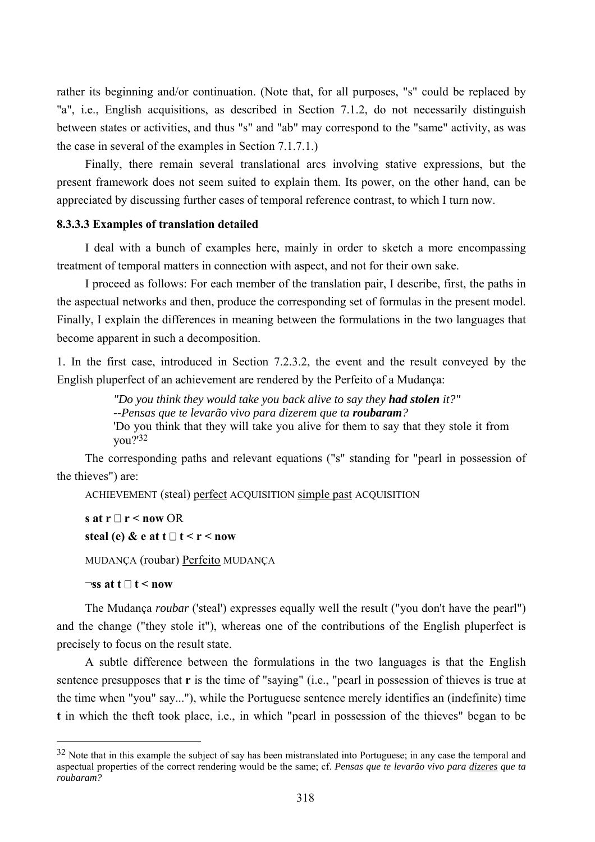rather its beginning and/or continuation. (Note that, for all purposes, "s" could be replaced by "a", i.e., English acquisitions, as described in Section 7.1.2, do not necessarily distinguish between states or activities, and thus "s" and "ab" may correspond to the "same" activity, as was the case in several of the examples in Section 7.1.7.1.)

Finally, there remain several translational arcs involving stative expressions, but the present framework does not seem suited to explain them. Its power, on the other hand, can be appreciated by discussing further cases of temporal reference contrast, to which I turn now.

### **8.3.3.3 Examples of translation detailed**

I deal with a bunch of examples here, mainly in order to sketch a more encompassing treatment of temporal matters in connection with aspect, and not for their own sake.

I proceed as follows: For each member of the translation pair, I describe, first, the paths in the aspectual networks and then, produce the corresponding set of formulas in the present model. Finally, I explain the differences in meaning between the formulations in the two languages that become apparent in such a decomposition.

1. In the first case, introduced in Section 7.2.3.2, the event and the result conveyed by the English pluperfect of an achievement are rendered by the Perfeito of a Mudança:

> *"Do you think they would take you back alive to say they had stolen it?" --Pensas que te levarão vivo para dizerem que ta roubaram?*  'Do you think that they will take you alive for them to say that they stole it from you?'32

The corresponding paths and relevant equations ("s" standing for "pearl in possession of the thieves") are:

ACHIEVEMENT (steal) perfect ACQUISITION simple past ACQUISITION

**s** at  $r \Box r$  < now OR **steal (e)** & **e** at  $t \square t < r <$ **now** 

MUDANÇA (roubar) Perfeito MUDANÇA

 $\neg$ ss at t  $\Box$  t < now

 $\overline{a}$ 

The Mudança *roubar* ('steal') expresses equally well the result ("you don't have the pearl") and the change ("they stole it"), whereas one of the contributions of the English pluperfect is precisely to focus on the result state.

A subtle difference between the formulations in the two languages is that the English sentence presupposes that **r** is the time of "saying" (i.e., "pearl in possession of thieves is true at the time when "you" say..."), while the Portuguese sentence merely identifies an (indefinite) time **t** in which the theft took place, i.e., in which "pearl in possession of the thieves" began to be

 $32$  Note that in this example the subject of say has been mistranslated into Portuguese; in any case the temporal and aspectual properties of the correct rendering would be the same; cf. *Pensas que te levarão vivo para dizeres que ta roubaram?*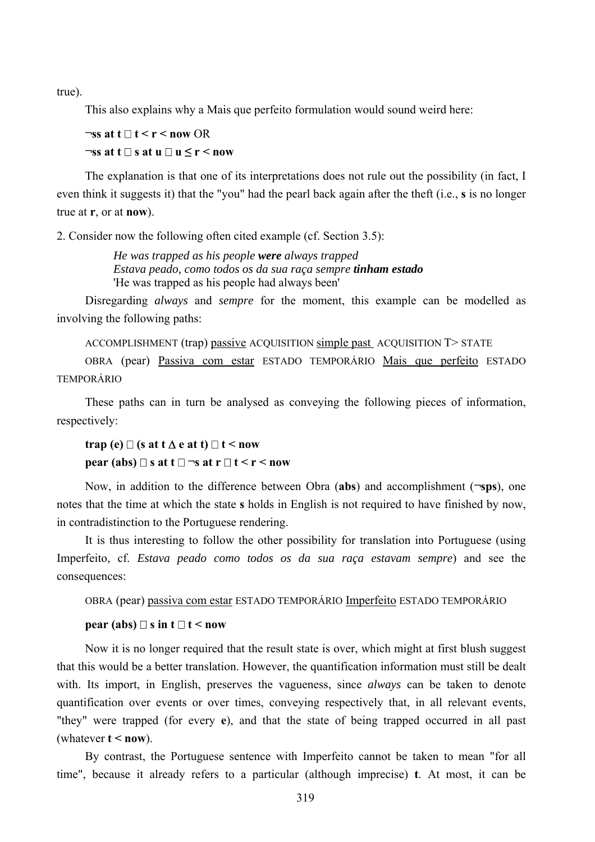true).

This also explains why a Mais que perfeito formulation would sound weird here:

# $\exists$ ss at t  $\exists$ t < r < now OR  $\exists$  ss at t  $\Box$  s at u  $\Box$  u  $\leq$  r  $\leq$  now

The explanation is that one of its interpretations does not rule out the possibility (in fact, I even think it suggests it) that the "you" had the pearl back again after the theft (i.e., **s** is no longer true at **r**, or at **now**).

2. Consider now the following often cited example (cf. Section 3.5):

*He was trapped as his people were always trapped Estava peado, como todos os da sua raça sempre tinham estado*  'He was trapped as his people had always been'

Disregarding *always* and *sempre* for the moment, this example can be modelled as involving the following paths:

ACCOMPLISHMENT (trap) passive ACQUISITION simple past ACQUISITION T> STATE

OBRA (pear) Passiva com estar ESTADO TEMPORÁRIO Mais que perfeito ESTADO TEMPORÁRIO

These paths can in turn be analysed as conveying the following pieces of information, respectively:

# **trap (e)**  $\Box$  (s at **t**  $\Delta$  **e** at **t**)  $\Box$  **t** < now **pear (abs)**  $\Box$  **s** at  $t \Box \neg s$  at  $r \Box t \le r \le n$ ow

Now, in addition to the difference between Obra (**abs**) and accomplishment (**¬sps**), one notes that the time at which the state **s** holds in English is not required to have finished by now, in contradistinction to the Portuguese rendering.

It is thus interesting to follow the other possibility for translation into Portuguese (using Imperfeito, cf. *Estava peado como todos os da sua raça estavam sempre*) and see the consequences:

OBRA (pear) passiva com estar ESTADO TEMPORÁRIO Imperfeito ESTADO TEMPORÁRIO

## **pear (abs)**  $\Box$  **s** in  $t \Box$  **t** < now

Now it is no longer required that the result state is over, which might at first blush suggest that this would be a better translation. However, the quantification information must still be dealt with. Its import, in English, preserves the vagueness, since *always* can be taken to denote quantification over events or over times, conveying respectively that, in all relevant events, "they" were trapped (for every **e**), and that the state of being trapped occurred in all past (whatever  $t < now$ ).

By contrast, the Portuguese sentence with Imperfeito cannot be taken to mean "for all time", because it already refers to a particular (although imprecise) **t**. At most, it can be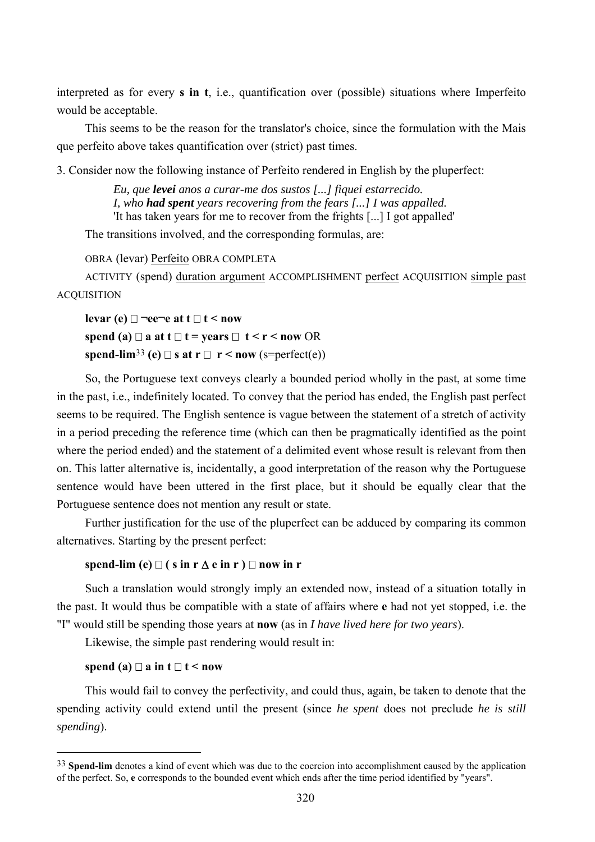interpreted as for every **s in t**, i.e., quantification over (possible) situations where Imperfeito would be acceptable.

This seems to be the reason for the translator's choice, since the formulation with the Mais que perfeito above takes quantification over (strict) past times.

3. Consider now the following instance of Perfeito rendered in English by the pluperfect:

*Eu, que levei anos a curar-me dos sustos [...] fiquei estarrecido. I, who had spent years recovering from the fears [...] I was appalled.*  'It has taken years for me to recover from the frights [...] I got appalled'

The transitions involved, and the corresponding formulas, are:

OBRA (levar) Perfeito OBRA COMPLETA

ACTIVITY (spend) duration argument ACCOMPLISHMENT perfect ACQUISITION simple past **ACQUISITION** 

**levar** (e)  $\Box$  ¬ee¬e at  $t \Box t$  < now **spend (a)**  $\Box$  **a** at  $t \Box$  **t** = years  $\Box$  **t** < **r** < now OR **spend-lim<sup>33</sup> (e)**  $\Box$  **<b>s** at **r**  $\Box$  **r** < **now** (s=perfect(e))

So, the Portuguese text conveys clearly a bounded period wholly in the past, at some time in the past, i.e., indefinitely located. To convey that the period has ended, the English past perfect seems to be required. The English sentence is vague between the statement of a stretch of activity in a period preceding the reference time (which can then be pragmatically identified as the point where the period ended) and the statement of a delimited event whose result is relevant from then on. This latter alternative is, incidentally, a good interpretation of the reason why the Portuguese sentence would have been uttered in the first place, but it should be equally clear that the Portuguese sentence does not mention any result or state.

Further justification for the use of the pluperfect can be adduced by comparing its common alternatives. Starting by the present perfect:

## spend-lim (e)  $\Box$  ( s in r  $\Delta$  e in r )  $\Box$  now in r

Such a translation would strongly imply an extended now, instead of a situation totally in the past. It would thus be compatible with a state of affairs where **e** had not yet stopped, i.e. the "I" would still be spending those years at **now** (as in *I have lived here for two years*).

Likewise, the simple past rendering would result in:

## **spend (a)**  $\Box$  **a** in  $t \Box$  **t** < now

 $\overline{a}$ 

This would fail to convey the perfectivity, and could thus, again, be taken to denote that the spending activity could extend until the present (since *he spent* does not preclude *he is still spending*).

<sup>&</sup>lt;sup>33</sup> **Spend-lim** denotes a kind of event which was due to the coercion into accomplishment caused by the application of the perfect. So, **e** corresponds to the bounded event which ends after the time period identified by "years".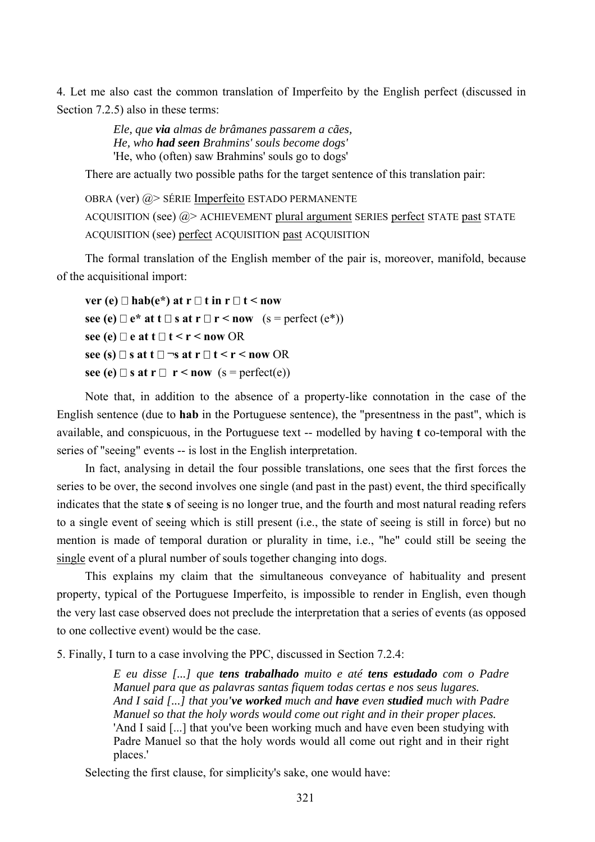4. Let me also cast the common translation of Imperfeito by the English perfect (discussed in Section 7.2.5) also in these terms:

> *Ele, que via almas de brâmanes passarem a cães, He, who had seen Brahmins' souls become dogs'*  'He, who (often) saw Brahmins' souls go to dogs'

There are actually two possible paths for the target sentence of this translation pair:

```
OBRA (ver) @> SÉRIE Imperfeito ESTADO PERMANENTE
ACQUISITION (see) @> ACHIEVEMENT plural argument SERIES perfect STATE past STATE
ACQUISITION (see) perfect ACQUISITION past ACQUISITION
```
The formal translation of the English member of the pair is, moreover, manifold, because of the acquisitional import:

```
ver (e) \Box hab(e*) at r \Box t in r \Box t < now
see (e) \Box e* at t \Box s at r \Box r < now (s = perfect (e^*))\text{see} (\text{e}) \square \text{e at } t \square t \leq r \leq \text{now} \text{OR}\text{see } (\textbf{s}) \square \textbf{s} \text{ at } \textbf{t} \square \neg \textbf{s} \textbf{ at } \textbf{r} \square \textbf{ t} \leq \textbf{r} \leq \textbf{now } \text{OR}see (e) \Box s at \mathbf{r} \Box r < now (s = perfect(e))
```
Note that, in addition to the absence of a property-like connotation in the case of the English sentence (due to **hab** in the Portuguese sentence), the "presentness in the past", which is available, and conspicuous, in the Portuguese text -- modelled by having **t** co-temporal with the series of "seeing" events -- is lost in the English interpretation.

In fact, analysing in detail the four possible translations, one sees that the first forces the series to be over, the second involves one single (and past in the past) event, the third specifically indicates that the state **s** of seeing is no longer true, and the fourth and most natural reading refers to a single event of seeing which is still present (i.e., the state of seeing is still in force) but no mention is made of temporal duration or plurality in time, i.e., "he" could still be seeing the single event of a plural number of souls together changing into dogs.

This explains my claim that the simultaneous conveyance of habituality and present property, typical of the Portuguese Imperfeito, is impossible to render in English, even though the very last case observed does not preclude the interpretation that a series of events (as opposed to one collective event) would be the case.

5. Finally, I turn to a case involving the PPC, discussed in Section 7.2.4:

*E eu disse [...] que tens trabalhado muito e até tens estudado com o Padre Manuel para que as palavras santas fiquem todas certas e nos seus lugares. And I said [...] that you've worked much and have even studied much with Padre Manuel so that the holy words would come out right and in their proper places.*  'And I said [...] that you've been working much and have even been studying with Padre Manuel so that the holy words would all come out right and in their right places.'

Selecting the first clause, for simplicity's sake, one would have: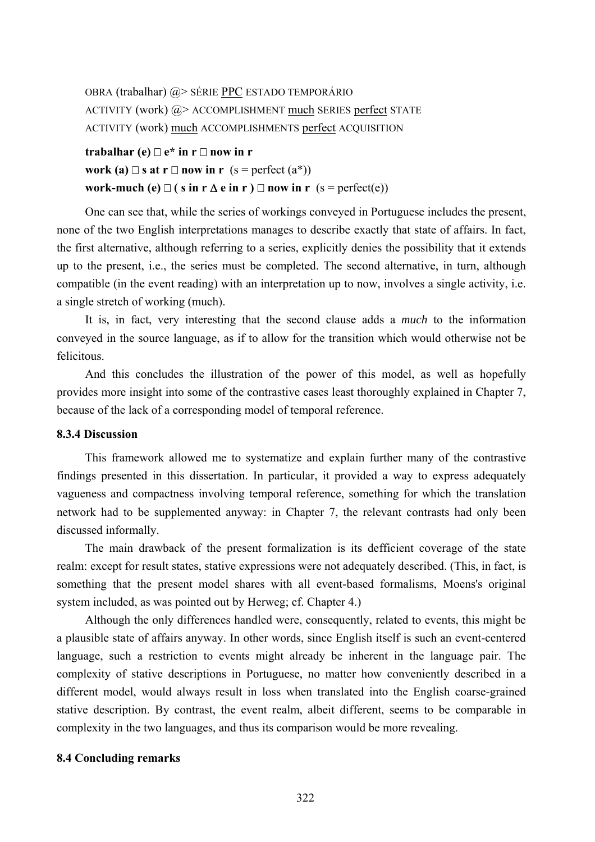```
OBRA (trabalhar) @> SÉRIE PPC ESTADO TEMPORÁRIO
ACTIVITY (work) @> ACCOMPLISHMENT much SERIES perfect STATE
ACTIVITY (work) much ACCOMPLISHMENTS perfect ACQUISITION
```
# **trabalhar** (e)  $\Box$  e<sup>\*</sup> in  $r \Box$  now in r **work (a)**  $\Box$  **s at r**  $\Box$  **now in r** (**s** = perfect (a\*)) **work-much (e)**  $\Box$  ( **s** in **r**  $\Delta$  **e** in **r** )  $\Box$  **now** in **r** (s = perfect(e))

One can see that, while the series of workings conveyed in Portuguese includes the present, none of the two English interpretations manages to describe exactly that state of affairs. In fact, the first alternative, although referring to a series, explicitly denies the possibility that it extends up to the present, i.e., the series must be completed. The second alternative, in turn, although compatible (in the event reading) with an interpretation up to now, involves a single activity, i.e. a single stretch of working (much).

It is, in fact, very interesting that the second clause adds a *much* to the information conveyed in the source language, as if to allow for the transition which would otherwise not be felicitous.

And this concludes the illustration of the power of this model, as well as hopefully provides more insight into some of the contrastive cases least thoroughly explained in Chapter 7, because of the lack of a corresponding model of temporal reference.

# **8.3.4 Discussion**

This framework allowed me to systematize and explain further many of the contrastive findings presented in this dissertation. In particular, it provided a way to express adequately vagueness and compactness involving temporal reference, something for which the translation network had to be supplemented anyway: in Chapter 7, the relevant contrasts had only been discussed informally.

The main drawback of the present formalization is its defficient coverage of the state realm: except for result states, stative expressions were not adequately described. (This, in fact, is something that the present model shares with all event-based formalisms, Moens's original system included, as was pointed out by Herweg; cf. Chapter 4.)

Although the only differences handled were, consequently, related to events, this might be a plausible state of affairs anyway. In other words, since English itself is such an event-centered language, such a restriction to events might already be inherent in the language pair. The complexity of stative descriptions in Portuguese, no matter how conveniently described in a different model, would always result in loss when translated into the English coarse-grained stative description. By contrast, the event realm, albeit different, seems to be comparable in complexity in the two languages, and thus its comparison would be more revealing.

# **8.4 Concluding remarks**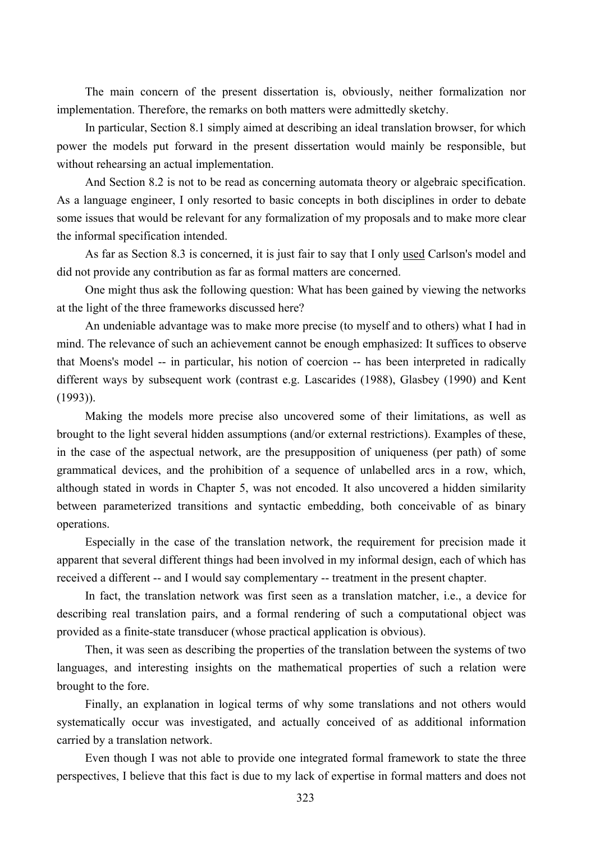The main concern of the present dissertation is, obviously, neither formalization nor implementation. Therefore, the remarks on both matters were admittedly sketchy.

In particular, Section 8.1 simply aimed at describing an ideal translation browser, for which power the models put forward in the present dissertation would mainly be responsible, but without rehearsing an actual implementation.

And Section 8.2 is not to be read as concerning automata theory or algebraic specification. As a language engineer, I only resorted to basic concepts in both disciplines in order to debate some issues that would be relevant for any formalization of my proposals and to make more clear the informal specification intended.

As far as Section 8.3 is concerned, it is just fair to say that I only used Carlson's model and did not provide any contribution as far as formal matters are concerned.

One might thus ask the following question: What has been gained by viewing the networks at the light of the three frameworks discussed here?

An undeniable advantage was to make more precise (to myself and to others) what I had in mind. The relevance of such an achievement cannot be enough emphasized: It suffices to observe that Moens's model -- in particular, his notion of coercion -- has been interpreted in radically different ways by subsequent work (contrast e.g. Lascarides (1988), Glasbey (1990) and Kent (1993)).

Making the models more precise also uncovered some of their limitations, as well as brought to the light several hidden assumptions (and/or external restrictions). Examples of these, in the case of the aspectual network, are the presupposition of uniqueness (per path) of some grammatical devices, and the prohibition of a sequence of unlabelled arcs in a row, which, although stated in words in Chapter 5, was not encoded. It also uncovered a hidden similarity between parameterized transitions and syntactic embedding, both conceivable of as binary operations.

Especially in the case of the translation network, the requirement for precision made it apparent that several different things had been involved in my informal design, each of which has received a different -- and I would say complementary -- treatment in the present chapter.

In fact, the translation network was first seen as a translation matcher, i.e., a device for describing real translation pairs, and a formal rendering of such a computational object was provided as a finite-state transducer (whose practical application is obvious).

Then, it was seen as describing the properties of the translation between the systems of two languages, and interesting insights on the mathematical properties of such a relation were brought to the fore.

Finally, an explanation in logical terms of why some translations and not others would systematically occur was investigated, and actually conceived of as additional information carried by a translation network.

Even though I was not able to provide one integrated formal framework to state the three perspectives, I believe that this fact is due to my lack of expertise in formal matters and does not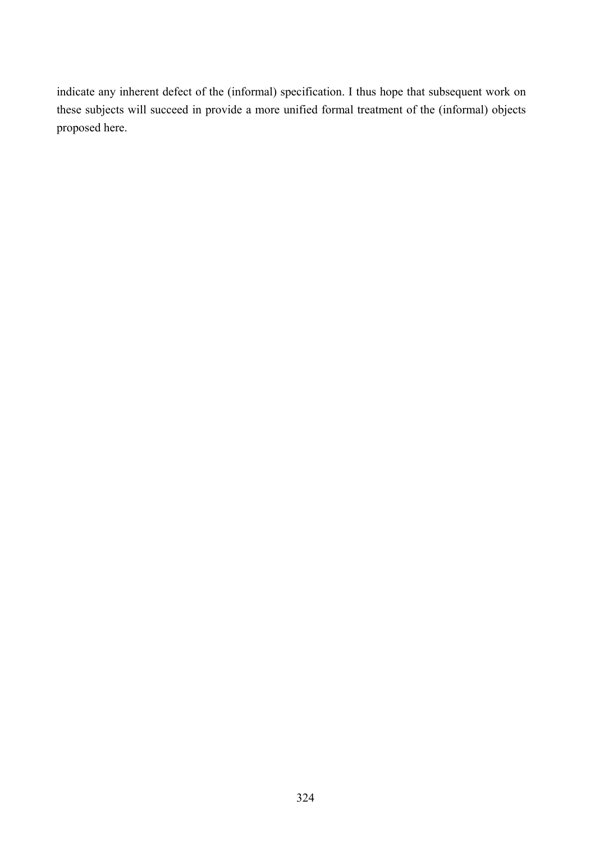indicate any inherent defect of the (informal) specification. I thus hope that subsequent work on these subjects will succeed in provide a more unified formal treatment of the (informal) objects proposed here.